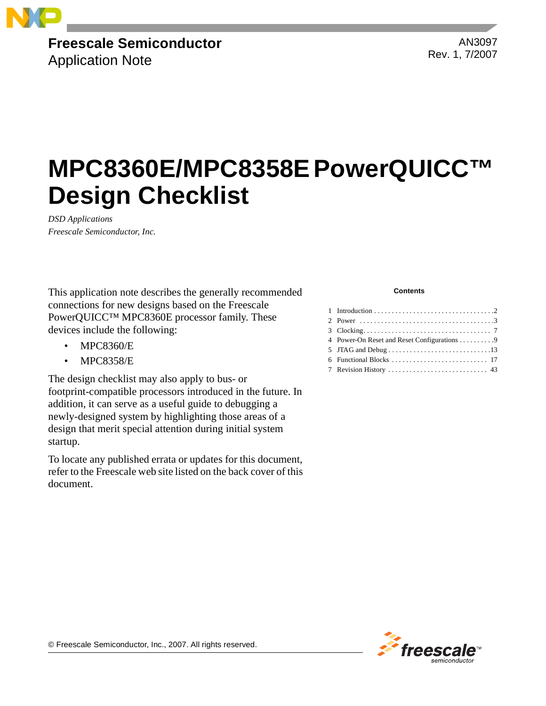

# **Freescale Semiconductor**

Application Note

AN3097 Rev. 1, 7/2007

# **MPC8360E/MPC8358E PowerQUICC™ Design Checklist**

*DSD Applications Freescale Semiconductor, Inc.*

This application note describes the generally recommended connections for new designs based on the Freescale PowerQUICC™ MPC8360E processor family. These devices include the following:

- MPC8360/E
- MPC8358/E

The design checklist may also apply to bus- or footprint-compatible processors introduced in the future. In addition, it can serve as a useful guide to debugging a newly-designed system by highlighting those areas of a design that merit special attention during initial system startup.

To locate any published errata or updates for this document, refer to the Freescale web site listed on the back cover of this document.

#### **Contents**

| 4 Power-On Reset and Reset Configurations 9 |
|---------------------------------------------|
|                                             |
|                                             |
|                                             |



© Freescale Semiconductor, Inc., 2007. All rights reserved.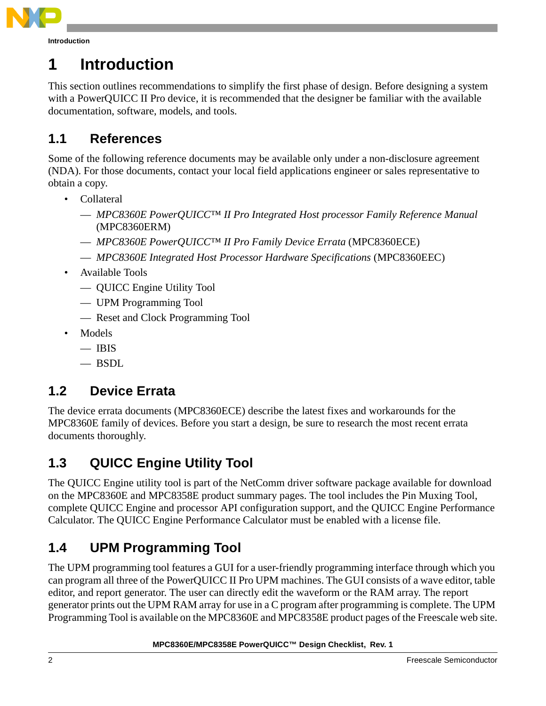

# **1 Introduction**

This section outlines recommendations to simplify the first phase of design. Before designing a system with a PowerQUICC II Pro device, it is recommended that the designer be familiar with the available documentation, software, models, and tools.

# **1.1 References**

Some of the following reference documents may be available only under a non-disclosure agreement (NDA). For those documents, contact your local field applications engineer or sales representative to obtain a copy.

- Collateral
	- *MPC8360E PowerQUICC™ II Pro Integrated Host processor Family Reference Manual* (MPC8360ERM)
	- *MPC8360E PowerQUICC™ II Pro Family Device Errata* (MPC8360ECE)
	- *MPC8360E Integrated Host Processor Hardware Specifications* (MPC8360EEC)
- Available Tools
	- QUICC Engine Utility Tool
	- UPM Programming Tool
	- Reset and Clock Programming Tool
- Models
	- $-$  IBIS
	- $-$  BSDL

### **1.2 Device Errata**

The device errata documents (MPC8360ECE) describe the latest fixes and workarounds for the MPC8360E family of devices. Before you start a design, be sure to research the most recent errata documents thoroughly.

# <span id="page-1-0"></span>**1.3 QUICC Engine Utility Tool**

The QUICC Engine utility tool is part of the NetComm driver software package available for download on the MPC8360E and MPC8358E product summary pages. The tool includes the Pin Muxing Tool, complete QUICC Engine and processor API configuration support, and the QUICC Engine Performance Calculator. The QUICC Engine Performance Calculator must be enabled with a license file.

# **1.4 UPM Programming Tool**

The UPM programming tool features a GUI for a user-friendly programming interface through which you can program all three of the PowerQUICC II Pro UPM machines. The GUI consists of a wave editor, table editor, and report generator. The user can directly edit the waveform or the RAM array. The report generator prints out the UPM RAM array for use in a C program after programming is complete. The UPM Programming Tool is available on the MPC8360E and MPC8358E product pages of the Freescale web site.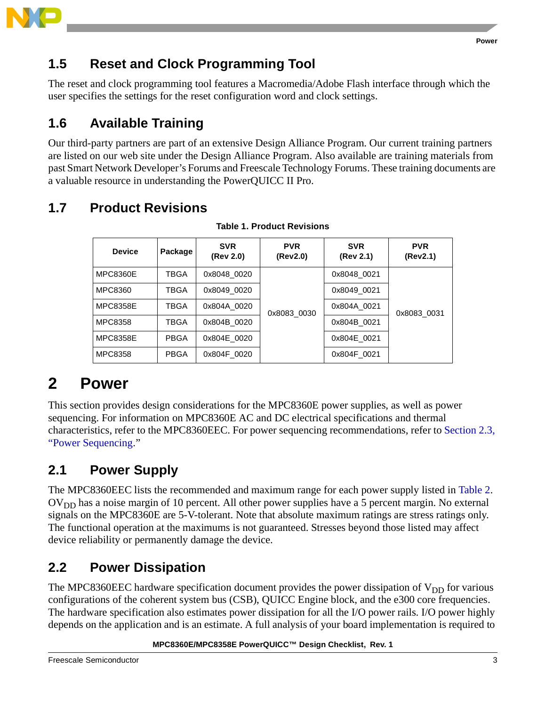

## **1.5 Reset and Clock Programming Tool**

The reset and clock programming tool features a Macromedia/Adobe Flash interface through which the user specifies the settings for the reset configuration word and clock settings.

# **1.6 Available Training**

Our third-party partners are part of an extensive Design Alliance Program. Our current training partners are listed on our web site under the Design Alliance Program. Also available are training materials from past Smart Network Developer's Forums and Freescale Technology Forums. These training documents are a valuable resource in understanding the PowerQUICC II Pro.

# <span id="page-2-0"></span>**1.7 Product Revisions**

| <b>Device</b>   | Package     | <b>SVR</b><br>(Rev 2.0) | <b>PVR</b><br>(Rev2.0) | <b>SVR</b><br>(Rev 2.1) | <b>PVR</b><br>(Rev2.1) |
|-----------------|-------------|-------------------------|------------------------|-------------------------|------------------------|
| <b>MPC8360E</b> | TBGA        | 0x8048 0020             |                        | 0x8048 0021             |                        |
| MPC8360         | TBGA        | 0x8049 0020             |                        | 0x8049 0021             |                        |
| <b>MPC8358E</b> | TBGA        | 0x804A 0020             | 0x8083_0030            | 0x804A 0021             | 0x8083 0031            |
| MPC8358         | TBGA        | 0x804B 0020             |                        | 0x804B 0021             |                        |
| <b>MPC8358E</b> | <b>PBGA</b> | 0x804E 0020             |                        | 0x804E 0021             |                        |
| MPC8358         | <b>PBGA</b> | 0x804F 0020             |                        | 0x804F 0021             |                        |

### **Table 1. Product Revisions**

# **2 Power**

This section provides design considerations for the MPC8360E power supplies, as well as power sequencing. For information on MPC8360E AC and DC electrical specifications and thermal characteristics, refer to the MPC8360EEC. For power sequencing recommendations, refer to [Section 2.3,](#page-3-0)  ["Power Sequencing](#page-3-0)."

# **2.1 Power Supply**

The MPC8360EEC lists the recommended and maximum range for each power supply listed in Table 2.  $\rm{OV}_{DD}$  has a noise margin of 10 percent. All other power supplies have a 5 percent margin. No external signals on the MPC8360E are 5-V-tolerant. Note that absolute maximum ratings are stress ratings only. The functional operation at the maximums is not guaranteed. Stresses beyond those listed may affect device reliability or permanently damage the device.

# **2.2 Power Dissipation**

The MPC8360EEC hardware specification document provides the power dissipation of  $V_{DD}$  for various configurations of the coherent system bus (CSB), QUICC Engine block, and the e300 core frequencies. The hardware specification also estimates power dissipation for all the I/O power rails. I/O power highly depends on the application and is an estimate. A full analysis of your board implementation is required to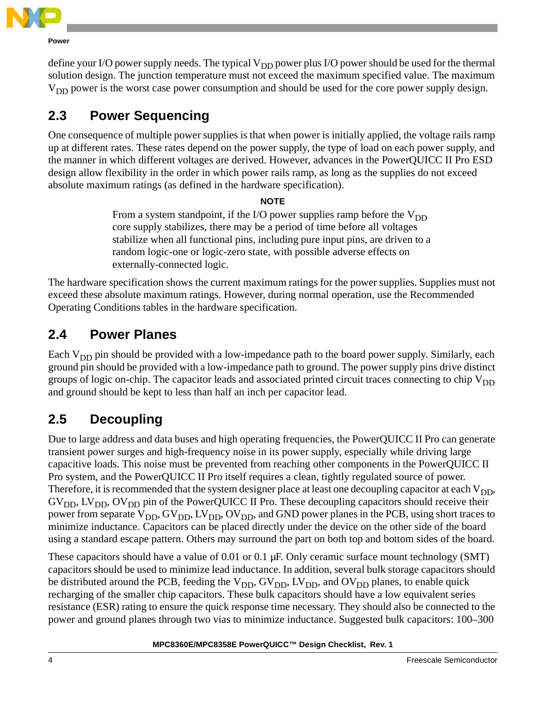

**Power**

define your I/O power supply needs. The typical  $V_{DD}$  power plus I/O power should be used for the thermal solution design. The junction temperature must not exceed the maximum specified value. The maximum  $V<sub>DD</sub>$  power is the worst case power consumption and should be used for the core power supply design.

# <span id="page-3-0"></span>**2.3 Power Sequencing**

One consequence of multiple power supplies is that when power is initially applied, the voltage rails ramp up at different rates. These rates depend on the power supply, the type of load on each power supply, and the manner in which different voltages are derived. However, advances in the PowerQUICC II Pro ESD design allow flexibility in the order in which power rails ramp, as long as the supplies do not exceed absolute maximum ratings (as defined in the hardware specification).

### **NOTE**

From a system standpoint, if the I/O power supplies ramp before the  $V_{DD}$ core supply stabilizes, there may be a period of time before all voltages stabilize when all functional pins, including pure input pins, are driven to a random logic-one or logic-zero state, with possible adverse effects on externally-connected logic.

The hardware specification shows the current maximum ratings for the power supplies. Supplies must not exceed these absolute maximum ratings. However, during normal operation, use the Recommended Operating Conditions tables in the hardware specification.

## **2.4 Power Planes**

Each  $V_{DD}$  pin should be provided with a low-impedance path to the board power supply. Similarly, each ground pin should be provided with a low-impedance path to ground. The power supply pins drive distinct groups of logic on-chip. The capacitor leads and associated printed circuit traces connecting to chip  $V_{DD}$ and ground should be kept to less than half an inch per capacitor lead.

# <span id="page-3-1"></span>**2.5 Decoupling**

Due to large address and data buses and high operating frequencies, the PowerQUICC II Pro can generate transient power surges and high-frequency noise in its power supply, especially while driving large capacitive loads. This noise must be prevented from reaching other components in the PowerQUICC II Pro system, and the PowerQUICC II Pro itself requires a clean, tightly regulated source of power. Therefore, it is recommended that the system designer place at least one decoupling capacitor at each  $V_{DD}$ ,  $GV<sub>DD</sub>, LV<sub>DD</sub>, OV<sub>DD</sub>$  pin of the PowerQUICC II Pro. These decoupling capacitors should receive their power from separate  $V_{DD}$ ,  $GV_{DD}$ ,  $LV_{DD}$ ,  $OV_{DD}$ , and GND power planes in the PCB, using short traces to minimize inductance. Capacitors can be placed directly under the device on the other side of the board using a standard escape pattern. Others may surround the part on both top and bottom sides of the board.

These capacitors should have a value of 0.01 or 0.1  $\mu$ F. Only ceramic surface mount technology (SMT) capacitors should be used to minimize lead inductance. In addition, several bulk storage capacitors should be distributed around the PCB, feeding the  $V_{DD}$ ,  $GV_{DD}$ ,  $LV_{DD}$ , and  $OV_{DD}$  planes, to enable quick recharging of the smaller chip capacitors. These bulk capacitors should have a low equivalent series resistance (ESR) rating to ensure the quick response time necessary. They should also be connected to the power and ground planes through two vias to minimize inductance. Suggested bulk capacitors: 100–300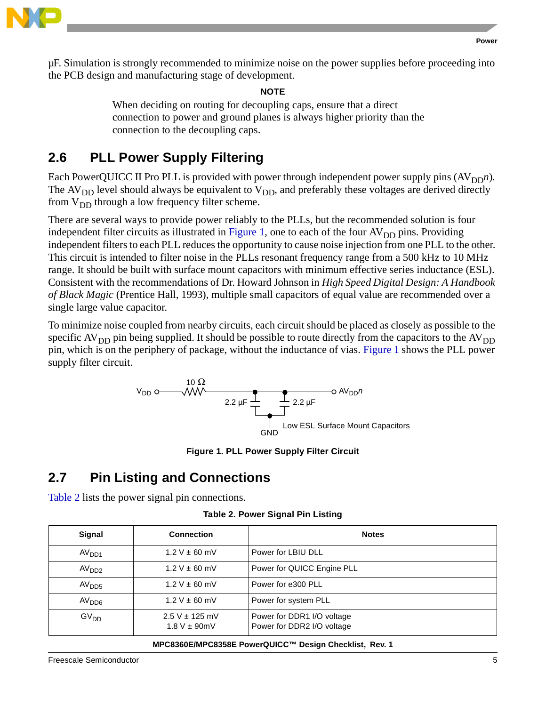

µF. Simulation is strongly recommended to minimize noise on the power supplies before proceeding into the PCB design and manufacturing stage of development.

**NOTE**

When deciding on routing for decoupling caps, ensure that a direct connection to power and ground planes is always higher priority than the connection to the decoupling caps.

## <span id="page-4-1"></span>**2.6 PLL Power Supply Filtering**

Each PowerQUICC II Pro PLL is provided with power through independent power supply pins  $(AV_{DD}n)$ . The  $AV<sub>DD</sub>$  level should always be equivalent to  $V<sub>DD</sub>$ , and preferably these voltages are derived directly from  $V_{DD}$  through a low frequency filter scheme.

There are several ways to provide power reliably to the PLLs, but the recommended solution is four independent filter circuits as illustrated in [Figure 1,](#page-4-0) one to each of the four  $AV<sub>DD</sub>$  pins. Providing independent filters to each PLL reduces the opportunity to cause noise injection from one PLL to the other. This circuit is intended to filter noise in the PLLs resonant frequency range from a 500 kHz to 10 MHz range. It should be built with surface mount capacitors with minimum effective series inductance (ESL). Consistent with the recommendations of Dr. Howard Johnson in *High Speed Digital Design: A Handbook of Black Magic* (Prentice Hall, 1993), multiple small capacitors of equal value are recommended over a single large value capacitor.

To minimize noise coupled from nearby circuits, each circuit should be placed as closely as possible to the specific  $AV_{DD}$  pin being supplied. It should be possible to route directly from the capacitors to the  $AV_{DD}$ pin, which is on the periphery of package, without the inductance of vias. [Figure 1](#page-4-0) shows the PLL power supply filter circuit.



**Figure 1. PLL Power Supply Filter Circuit**

### <span id="page-4-0"></span>**2.7 Pin Listing and Connections**

Table 2 lists the power signal pin connections.

| Table 2. Power Signal Pin Listing |  |  |  |  |
|-----------------------------------|--|--|--|--|
|-----------------------------------|--|--|--|--|

| Signal                                 | <b>Connection</b>                       | <b>Notes</b>                                             |
|----------------------------------------|-----------------------------------------|----------------------------------------------------------|
| AV <sub>DD1</sub>                      | $1.2 V \pm 60$ mV                       | Power for LBIU DLL                                       |
| $1.2 V \pm 60$ mV<br>AV <sub>DD2</sub> |                                         | Power for QUICC Engine PLL                               |
| $1.2 V \pm 60$ mV<br>AV <sub>DD5</sub> |                                         | Power for e300 PLL                                       |
| $1.2 V \pm 60$ mV<br>AV <sub>DD6</sub> |                                         | Power for system PLL                                     |
| GV <sub>DD</sub>                       | $2.5 V \pm 125$ mV<br>$1.8 V \pm 90$ mV | Power for DDR1 I/O voltage<br>Power for DDR2 I/O voltage |

#### **MPC8360E/MPC8358E PowerQUICC™ Design Checklist, Rev. 1**

Freescale Semiconductor 5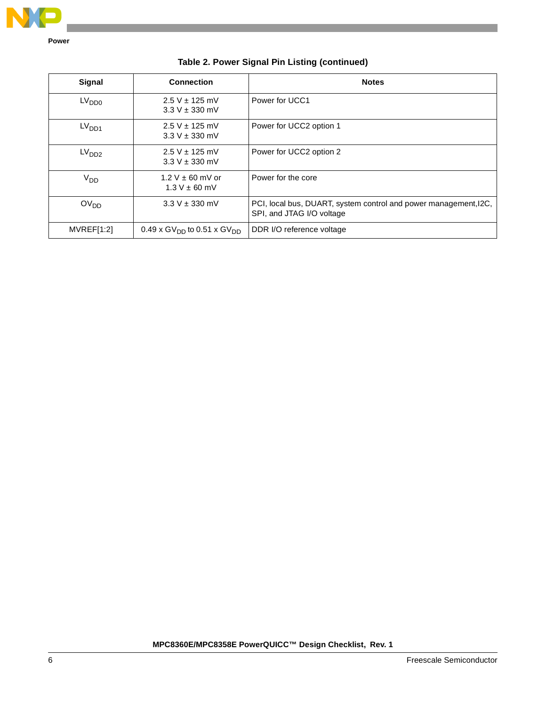

**Power**

| <b>Signal</b>     | <b>Connection</b>                                  | <b>Notes</b>                                                                                  |
|-------------------|----------------------------------------------------|-----------------------------------------------------------------------------------------------|
| LV <sub>DD0</sub> | $2.5 V \pm 125$ mV<br>$3.3 V \pm 330$ mV           | Power for UCC1                                                                                |
| LV <sub>DD1</sub> | $2.5 V \pm 125$ mV<br>$3.3 V \pm 330$ mV           | Power for UCC2 option 1                                                                       |
| LV <sub>DD2</sub> | $2.5 V \pm 125$ mV<br>$3.3 V \pm 330$ mV           | Power for UCC2 option 2                                                                       |
| $V_{DD}$          | $1.2 V \pm 60$ mV or<br>$1.3 V \pm 60$ mV          | Power for the core                                                                            |
| OV <sub>DD</sub>  | $3.3 V \pm 330$ mV                                 | PCI, local bus, DUART, system control and power management, I2C,<br>SPI, and JTAG I/O voltage |
| MVREF[1:2]        | 0.49 x GV <sub>DD</sub> to 0.51 x GV <sub>DD</sub> | DDR I/O reference voltage                                                                     |

### **Table 2. Power Signal Pin Listing (continued)**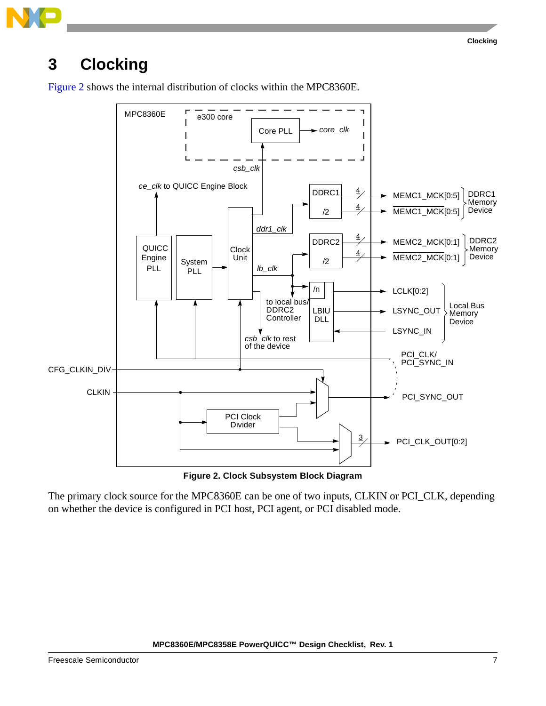# <span id="page-6-1"></span>**3 Clocking**

[Figure 2](#page-6-0) shows the internal distribution of clocks within the MPC8360E.



**Figure 2. Clock Subsystem Block Diagram**

<span id="page-6-0"></span>The primary clock source for the MPC8360E can be one of two inputs, CLKIN or PCI\_CLK, depending on whether the device is configured in PCI host, PCI agent, or PCI disabled mode.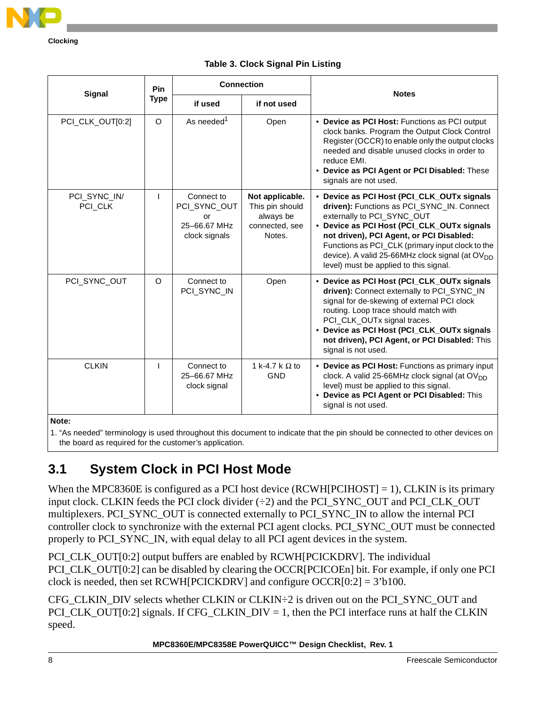

**Clocking**

|                         | <b>Pin</b>                     | <b>Connection</b>                                                 |                                                                             |                                                                                                                                                                                                                                                                                                                                                                               |
|-------------------------|--------------------------------|-------------------------------------------------------------------|-----------------------------------------------------------------------------|-------------------------------------------------------------------------------------------------------------------------------------------------------------------------------------------------------------------------------------------------------------------------------------------------------------------------------------------------------------------------------|
| Signal                  | <b>Type</b>                    | if used                                                           | if not used                                                                 | <b>Notes</b>                                                                                                                                                                                                                                                                                                                                                                  |
| PCI_CLK_OUT[0:2]        | $\circ$                        | As needed <sup>1</sup>                                            | Open                                                                        | • Device as PCI Host: Functions as PCI output<br>clock banks. Program the Output Clock Control<br>Register (OCCR) to enable only the output clocks<br>needed and disable unused clocks in order to<br>reduce EMI.<br>• Device as PCI Agent or PCI Disabled: These<br>signals are not used.                                                                                    |
| PCI_SYNC_IN/<br>PCI_CLK |                                | Connect to<br>PCI_SYNC_OUT<br>or<br>25-66.67 MHz<br>clock signals | Not applicable.<br>This pin should<br>always be<br>connected, see<br>Notes. | • Device as PCI Host (PCI_CLK_OUTx signals<br>driven): Functions as PCI_SYNC_IN. Connect<br>externally to PCI_SYNC_OUT<br>• Device as PCI Host (PCI_CLK_OUTx signals<br>not driven), PCI Agent, or PCI Disabled:<br>Functions as PCI_CLK (primary input clock to the<br>device). A valid 25-66MHz clock signal (at OV <sub>DD</sub><br>level) must be applied to this signal. |
| PCI_SYNC_OUT            | O<br>Connect to<br>PCI_SYNC_IN |                                                                   | Open                                                                        | • Device as PCI Host (PCI_CLK_OUTx signals<br>driven): Connect externally to PCI_SYNC_IN<br>signal for de-skewing of external PCI clock<br>routing. Loop trace should match with<br>PCI_CLK_OUTx signal traces.<br>• Device as PCI Host (PCI_CLK_OUTx signals<br>not driven), PCI Agent, or PCI Disabled: This<br>signal is not used.                                         |
| <b>CLKIN</b>            |                                | Connect to<br>25-66.67 MHz<br>clock signal                        | 1 k-4.7 k $\Omega$ to<br>GND                                                | • Device as PCI Host: Functions as primary input<br>clock. A valid 25-66MHz clock signal (at OV <sub>DD</sub><br>level) must be applied to this signal.                                                                                                                                                                                                                       |

#### **Table 3. Clock Signal Pin Listing**

**Note:** 

1. "As needed" terminology is used throughout this document to indicate that the pin should be connected to other devices on the board as required for the customer's application.

## **3.1 System Clock in PCI Host Mode**

When the MPC8360E is configured as a PCI host device (RCWH[PCIHOST] = 1), CLKIN is its primary input clock. CLKIN feeds the PCI clock divider (÷2) and the PCI\_SYNC\_OUT and PCI\_CLK\_OUT multiplexers. PCI\_SYNC\_OUT is connected externally to PCI\_SYNC\_IN to allow the internal PCI controller clock to synchronize with the external PCI agent clocks. PCI\_SYNC\_OUT must be connected properly to PCI\_SYNC\_IN, with equal delay to all PCI agent devices in the system.

PCI\_CLK\_OUT[0:2] output buffers are enabled by RCWH[PCICKDRV]. The individual PCI\_CLK\_OUT[0:2] can be disabled by clearing the OCCR[PCICOEn] bit. For example, if only one PCI clock is needed, then set RCWH[PCICKDRV] and configure  $OCCR[0:2] = 3'b100$ .

CFG CLKIN DIV selects whether CLKIN or CLKIN $\div$ 2 is driven out on the PCI SYNC OUT and PCI\_CLK\_OUT[0:2] signals. If CFG\_CLKIN\_DIV = 1, then the PCI interface runs at half the CLKIN speed.

• **Device as PCI Agent or PCI Disabled:** This

signal is not used.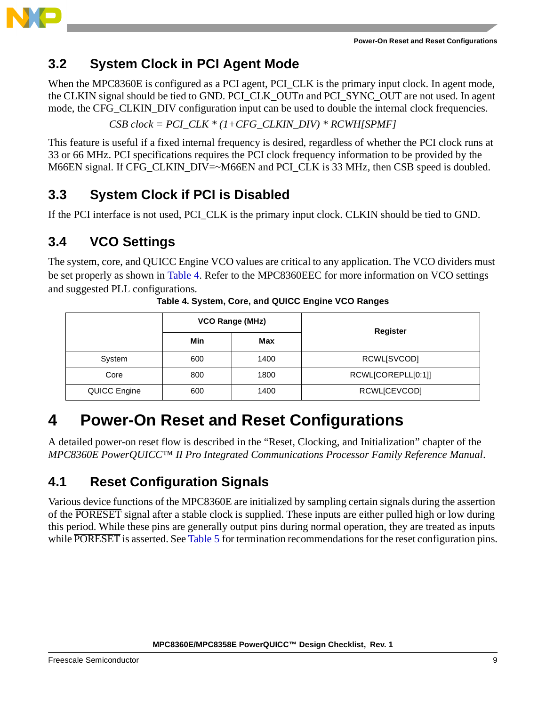

## **3.2 System Clock in PCI Agent Mode**

When the MPC8360E is configured as a PCI agent, PCI\_CLK is the primary input clock. In agent mode, the CLKIN signal should be tied to GND. PCI\_CLK\_OUT*n* and PCI\_SYNC\_OUT are not used. In agent mode, the CFG CLKIN DIV configuration input can be used to double the internal clock frequencies.

*CSB clock = PCI\_CLK \* (1+CFG\_CLKIN\_DIV) \* RCWH[SPMF]*

This feature is useful if a fixed internal frequency is desired, regardless of whether the PCI clock runs at 33 or 66 MHz. PCI specifications requires the PCI clock frequency information to be provided by the M66EN signal. If CFG\_CLKIN\_DIV=~M66EN and PCI\_CLK is 33 MHz, then CSB speed is doubled.

## <span id="page-8-2"></span>**3.3 System Clock if PCI is Disabled**

If the PCI interface is not used, PCI\_CLK is the primary input clock. CLKIN should be tied to GND.

### <span id="page-8-3"></span>**3.4 VCO Settings**

The system, core, and QUICC Engine VCO values are critical to any application. The VCO dividers must be set properly as shown in [Table 4.](#page-8-0) Refer to the MPC8360EEC for more information on VCO settings and suggested PLL configurations.

<span id="page-8-0"></span>

|              |     | <b>VCO Range (MHz)</b> | Register           |
|--------------|-----|------------------------|--------------------|
|              | Min | Max                    |                    |
| System       | 600 | 1400                   | RCWL[SVCOD]        |
| Core         | 800 | 1800                   | RCWL[COREPLL[0:1]] |
| QUICC Engine | 600 | 1400                   | RCWL[CEVCOD]       |

**Table 4. System, Core, and QUICC Engine VCO Ranges**

# **4 Power-On Reset and Reset Configurations**

A detailed power-on reset flow is described in the "Reset, Clocking, and Initialization" chapter of the *MPC8360E PowerQUICC™ II Pro Integrated Communications Processor Family Reference Manual*.

## <span id="page-8-1"></span>**4.1 Reset Configuration Signals**

Various device functions of the MPC8360E are initialized by sampling certain signals during the assertion of the PORESET signal after a stable clock is supplied. These inputs are either pulled high or low during this period. While these pins are generally output pins during normal operation, they are treated as inputs while PORESET is asserted. See [Table 5](#page-9-0) for termination recommendations for the reset configuration pins.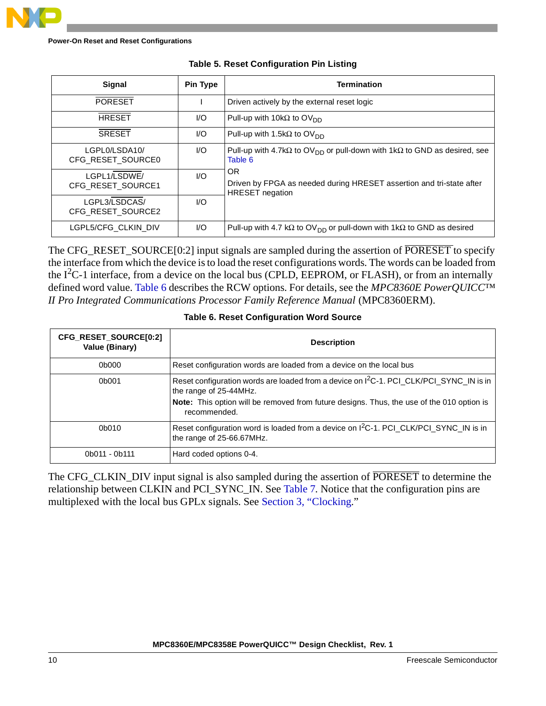<span id="page-9-0"></span>

| <b>Signal</b>                      | <b>Pin Type</b>        | Termination                                                                                                    |
|------------------------------------|------------------------|----------------------------------------------------------------------------------------------------------------|
| <b>PORESET</b>                     |                        | Driven actively by the external reset logic                                                                    |
| <b>HRESET</b>                      | $\mathsf{U}\mathsf{O}$ | Pull-up with 10k $\Omega$ to OV <sub>DD</sub>                                                                  |
| <b>SRESET</b>                      | $\mathsf{U}\mathsf{O}$ | Pull-up with 1.5k $\Omega$ to OV <sub>DD</sub>                                                                 |
| LGPL0/LSDA10/<br>CFG RESET SOURCE0 | 1/O                    | Pull-up with 4.7k $\Omega$ to OV <sub>DD</sub> or pull-down with 1k $\Omega$ to GND as desired, see<br>Table 6 |
| LGPL1/LSDWE/<br>CFG RESET SOURCE1  | 1/O                    | OR<br>Driven by FPGA as needed during HRESET assertion and tri-state after<br><b>HRESET</b> negation           |
| LGPL3/LSDCAS/<br>CFG RESET SOURCE2 | 1/O                    |                                                                                                                |
| LGPL5/CFG CLKIN DIV                | UQ                     | Pull-up with 4.7 k $\Omega$ to OV <sub>DD</sub> or pull-down with 1k $\Omega$ to GND as desired                |

#### **Table 5. Reset Configuration Pin Listing**

The CFG\_RESET\_SOURCE[0:2] input signals are sampled during the assertion of PORESET to specify the interface from which the device is to load the reset configurations words. The words can be loaded from the  $I^2C-1$  interface, from a device on the local bus (CPLD, EEPROM, or FLASH), or from an internally defined word value. [Table 6](#page-9-1) describes the RCW options. For details, see the *MPC8360E PowerQUICC™ II Pro Integrated Communications Processor Family Reference Manual* (MPC8360ERM).

<span id="page-9-1"></span>

| CFG_RESET_SOURCE[0:2]<br>Value (Binary) | <b>Description</b>                                                                                                                                                                                                                         |
|-----------------------------------------|--------------------------------------------------------------------------------------------------------------------------------------------------------------------------------------------------------------------------------------------|
| 0b000                                   | Reset configuration words are loaded from a device on the local bus                                                                                                                                                                        |
| 0b001                                   | Reset configuration words are loaded from a device on I <sup>2</sup> C-1. PCI_CLK/PCI_SYNC_IN is in<br>the range of 25-44MHz.<br>Note: This option will be removed from future designs. Thus, the use of the 010 option is<br>recommended. |
| 0b010                                   | Reset configuration word is loaded from a device on I <sup>2</sup> C-1. PCI_CLK/PCI_SYNC_IN is in<br>the range of 25-66.67MHz.                                                                                                             |
| 0b011 - 0b111                           | Hard coded options 0-4.                                                                                                                                                                                                                    |

#### **Table 6. Reset Configuration Word Source**

The CFG\_CLKIN\_DIV input signal is also sampled during the assertion of PORESET to determine the relationship between CLKIN and PCI\_SYNC\_IN. See [Table 7.](#page-10-0) Notice that the configuration pins are multiplexed with the local bus GPLx signals. See [Section 3, "Clocking.](#page-6-1)"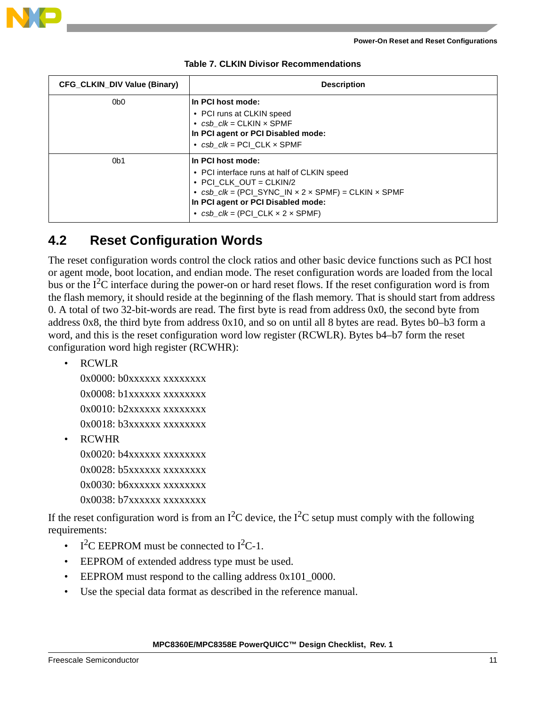



<span id="page-10-0"></span>

| <b>CFG CLKIN DIV Value (Binary)</b> | <b>Description</b>                                                                                                                                                                                                                                                        |  |  |
|-------------------------------------|---------------------------------------------------------------------------------------------------------------------------------------------------------------------------------------------------------------------------------------------------------------------------|--|--|
| 0 <sub>b0</sub>                     | In PCI host mode:<br>• PCI runs at CLKIN speed<br>• $csb$ $clk = CLKIN \times SPMF$<br>In PCI agent or PCI Disabled mode:<br>• $csb$ $clk = PCI$ $CLK \times SPMF$                                                                                                        |  |  |
| 0 <sub>b1</sub>                     | In PCI host mode:<br>• PCI interface runs at half of CLKIN speed<br>$\bullet$ PCI CLK OUT = CLKIN/2<br>• $csb\_{clk} = (PCI_SYNC_IN \times 2 \times SPMF) = CLKIN \times SPMF$<br>In PCI agent or PCI Disabled mode:<br>• $csb$ $clk = (PCI \, CLK \times 2 \times SPMF)$ |  |  |

|  |  |  | <b>Table 7. CLKIN Divisor Recommendations</b> |
|--|--|--|-----------------------------------------------|
|--|--|--|-----------------------------------------------|

### **4.2 Reset Configuration Words**

The reset configuration words control the clock ratios and other basic device functions such as PCI host or agent mode, boot location, and endian mode. The reset configuration words are loaded from the local bus or the  $I^2C$  interface during the power-on or hard reset flows. If the reset configuration word is from the flash memory, it should reside at the beginning of the flash memory. That is should start from address 0. A total of two 32-bit-words are read. The first byte is read from address 0x0, the second byte from address 0x8, the third byte from address 0x10, and so on until all 8 bytes are read. Bytes b0–b3 form a word, and this is the reset configuration word low register (RCWLR). Bytes b4–b7 form the reset configuration word high register (RCWHR):

• RCWLR

0x0000: b0xxxxxx xxxxxxxx 0x0008: b1xxxxxx xxxxxxxx 0x0010: b2xxxxxx xxxxxxxx  $0x0018:$  b3xxxxxx xxxxxxxx

• RCWHR

0x0020: b4xxxxxx xxxxxxxx 0x0028: b5xxxxxx xxxxxxxx  $0x0030$ :  $b6xxxxxx$  xxxxxxxx 0x0038: b7xxxxxx xxxxxxxx

If the reset configuration word is from an  $I^2C$  device, the  $I^2C$  setup must comply with the following requirements:

- I<sup>2</sup>C EEPROM must be connected to  $I^2C-1$ .
- EEPROM of extended address type must be used.
- EEPROM must respond to the calling address  $0x101_0000$ .
- Use the special data format as described in the reference manual.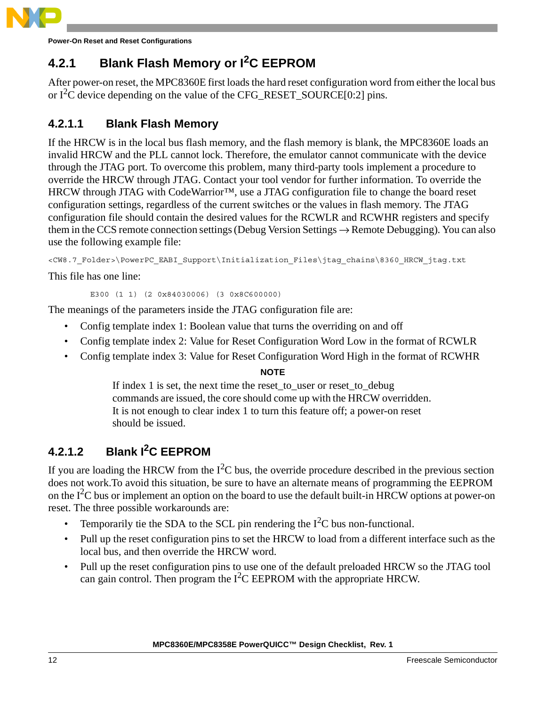

**Power-On Reset and Reset Configurations**

## **4.2.1 Blank Flash Memory or I2C EEPROM**

After power-on reset, the MPC8360E first loads the hard reset configuration word from either the local bus or  $I^2C$  device depending on the value of the CFG\_RESET\_SOURCE[0:2] pins.

### **4.2.1.1 Blank Flash Memory**

If the HRCW is in the local bus flash memory, and the flash memory is blank, the MPC8360E loads an invalid HRCW and the PLL cannot lock. Therefore, the emulator cannot communicate with the device through the JTAG port. To overcome this problem, many third-party tools implement a procedure to override the HRCW through JTAG. Contact your tool vendor for further information. To override the HRCW through JTAG with CodeWarrior™, use a JTAG configuration file to change the board reset configuration settings, regardless of the current switches or the values in flash memory. The JTAG configuration file should contain the desired values for the RCWLR and RCWHR registers and specify them in the CCS remote connection settings (Debug Version Settings → Remote Debugging). You can also use the following example file:

<CW8.7\_Folder>\PowerPC\_EABI\_Support\Initialization\_Files\jtag\_chains\8360\_HRCW\_jtag.txt

This file has one line:

E300 (1 1) (2 0x84030006) (3 0x8C600000)

The meanings of the parameters inside the JTAG configuration file are:

- Config template index 1: Boolean value that turns the overriding on and off
- Config template index 2: Value for Reset Configuration Word Low in the format of RCWLR
- Config template index 3: Value for Reset Configuration Word High in the format of RCWHR

#### **NOTE**

If index 1 is set, the next time the reset\_to\_user or reset\_to\_debug commands are issued, the core should come up with the HRCW overridden. It is not enough to clear index 1 to turn this feature off; a power-on reset should be issued.

### **4.2.1.2 Blank I2C EEPROM**

If you are loading the HRCW from the  $I<sup>2</sup>C$  bus, the override procedure described in the previous section does not work.To avoid this situation, be sure to have an alternate means of programming the EEPROM on the  $I<sup>2</sup>C$  bus or implement an option on the board to use the default built-in HRCW options at power-on reset. The three possible workarounds are:

- Temporarily tie the SDA to the SCL pin rendering the  $I<sup>2</sup>C$  bus non-functional.
- Pull up the reset configuration pins to set the HRCW to load from a different interface such as the local bus, and then override the HRCW word.
- Pull up the reset configuration pins to use one of the default preloaded HRCW so the JTAG tool can gain control. Then program the  $I^2C$  EEPROM with the appropriate HRCW.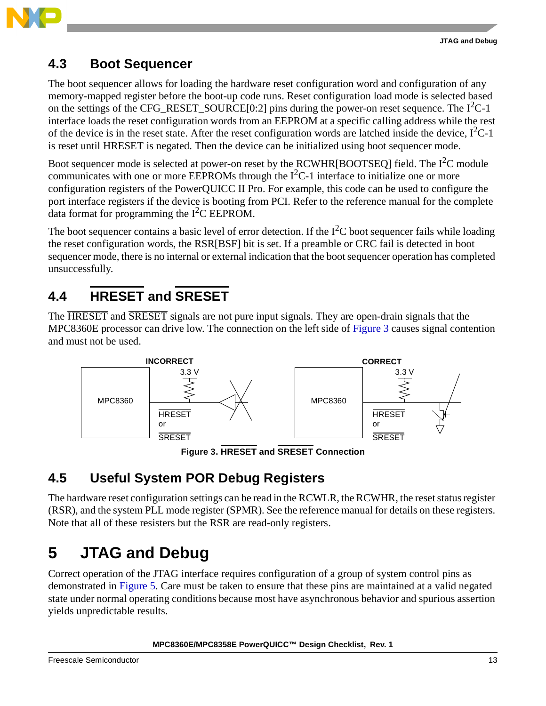

### **4.3 Boot Sequencer**

The boot sequencer allows for loading the hardware reset configuration word and configuration of any memory-mapped register before the boot-up code runs. Reset configuration load mode is selected based on the settings of the CFG\_RESET\_SOURCE $[0:2]$  pins during the power-on reset sequence. The  $I<sup>2</sup>C-1$ interface loads the reset configuration words from an EEPROM at a specific calling address while the rest of the device is in the reset state. After the reset configuration words are latched inside the device,  $I^2C-1$ is reset until **HRESET** is negated. Then the device can be initialized using boot sequencer mode.

Boot sequencer mode is selected at power-on reset by the RCWHR[BOOTSEQ] field. The  $I^2C$  module communicates with one or more EEPROMs through the  $I<sup>2</sup>C-1$  interface to initialize one or more configuration registers of the PowerQUICC II Pro. For example, this code can be used to configure the port interface registers if the device is booting from PCI. Refer to the reference manual for the complete data format for programming the  $I^2C$  EEPROM.

The boot sequencer contains a basic level of error detection. If the  $I^2C$  boot sequencer fails while loading the reset configuration words, the RSR[BSF] bit is set. If a preamble or CRC fail is detected in boot sequencer mode, there is no internal or external indication that the boot sequencer operation has completed unsuccessfully.

# **4.4 HRESET and SRESET**

The HRESET and SRESET signals are not pure input signals. They are open-drain signals that the MPC8360E processor can drive low. The connection on the left side of [Figure 3](#page-12-0) causes signal contention and must not be used.



**Figure 3. HRESET and SRESET Connection**

# <span id="page-12-0"></span>**4.5 Useful System POR Debug Registers**

The hardware reset configuration settings can be read in the RCWLR, the RCWHR, the reset status register (RSR), and the system PLL mode register (SPMR). See the reference manual for details on these registers. Note that all of these resisters but the RSR are read-only registers.

# <span id="page-12-1"></span>**5 JTAG and Debug**

Correct operation of the JTAG interface requires configuration of a group of system control pins as demonstrated in [Figure 5](#page-15-0). Care must be taken to ensure that these pins are maintained at a valid negated state under normal operating conditions because most have asynchronous behavior and spurious assertion yields unpredictable results.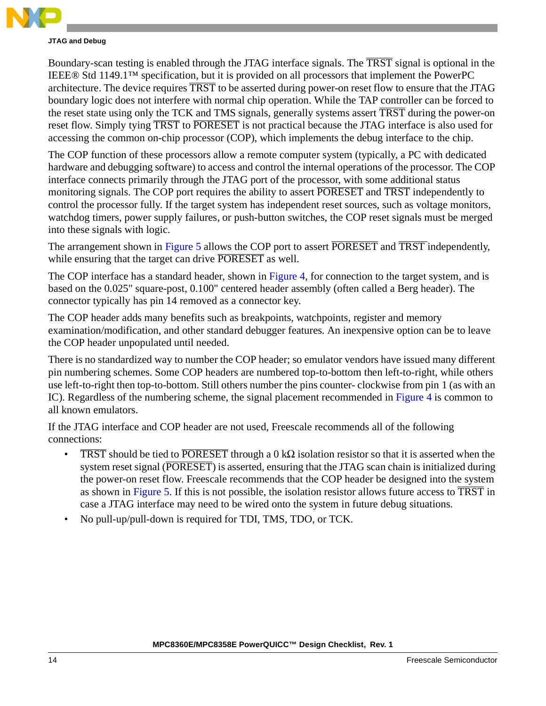

#### **JTAG and Debug**

Boundary-scan testing is enabled through the JTAG interface signals. The TRST signal is optional in the IEEE® Std 1149.1™ specification, but it is provided on all processors that implement the PowerPC architecture. The device requires TRST to be asserted during power-on reset flow to ensure that the JTAG boundary logic does not interfere with normal chip operation. While the TAP controller can be forced to the reset state using only the TCK and TMS signals, generally systems assert TRST during the power-on reset flow. Simply tying TRST to PORESET is not practical because the JTAG interface is also used for accessing the common on-chip processor (COP), which implements the debug interface to the chip.

The COP function of these processors allow a remote computer system (typically, a PC with dedicated hardware and debugging software) to access and control the internal operations of the processor. The COP interface connects primarily through the JTAG port of the processor, with some additional status monitoring signals. The COP port requires the ability to assert **PORESET** and **TRST** independently to control the processor fully. If the target system has independent reset sources, such as voltage monitors, watchdog timers, power supply failures, or push-button switches, the COP reset signals must be merged into these signals with logic.

The arrangement shown in [Figure 5](#page-15-0) allows the COP port to assert **PORESET** and **TRST** independently, while ensuring that the target can drive PORESET as well.

The COP interface has a standard header, shown in [Figure 4](#page-14-0), for connection to the target system, and is based on the 0.025" square-post, 0.100" centered header assembly (often called a Berg header). The connector typically has pin 14 removed as a connector key.

The COP header adds many benefits such as breakpoints, watchpoints, register and memory examination/modification, and other standard debugger features. An inexpensive option can be to leave the COP header unpopulated until needed.

There is no standardized way to number the COP header; so emulator vendors have issued many different pin numbering schemes. Some COP headers are numbered top-to-bottom then left-to-right, while others use left-to-right then top-to-bottom. Still others number the pins counter- clockwise from pin 1 (as with an IC). Regardless of the numbering scheme, the signal placement recommended in [Figure 4](#page-14-0) is common to all known emulators.

If the JTAG interface and COP header are not used, Freescale recommends all of the following connections:

- TRST should be tied to PORESET through a 0 kΩ isolation resistor so that it is asserted when the system reset signal (PORESET) is asserted, ensuring that the JTAG scan chain is initialized during the power-on reset flow. Freescale recommends that the COP header be designed into the system as shown in [Figure 5.](#page-15-0) If this is not possible, the isolation resistor allows future access to TRST in case a JTAG interface may need to be wired onto the system in future debug situations.
- No pull-up/pull-down is required for TDI, TMS, TDO, or TCK.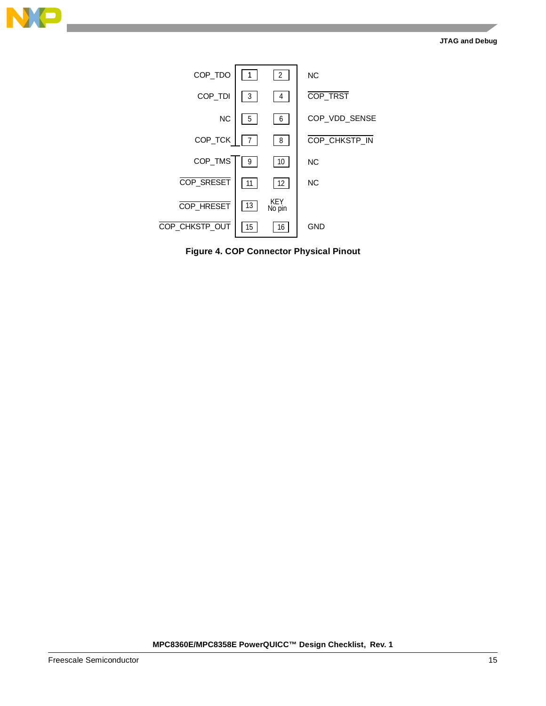



<span id="page-14-0"></span>**Figure 4. COP Connector Physical Pinout**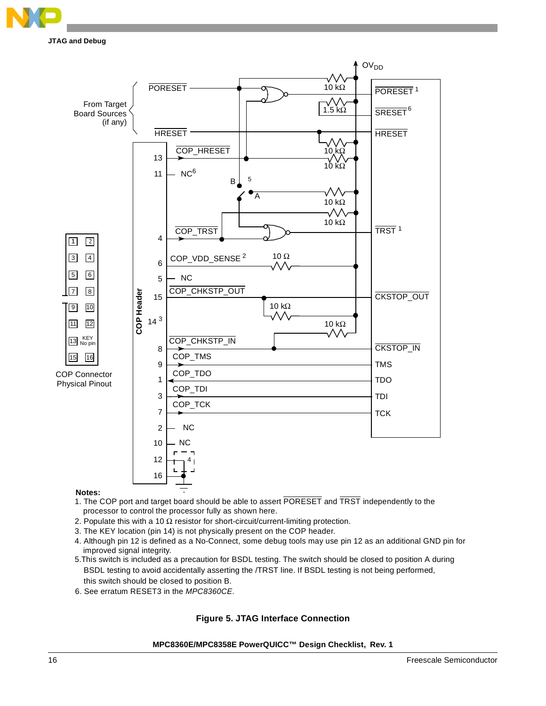

**JTAG and Debug**



#### **Notes:**

- processor to control the processor fully as shown here. 1. The COP port and target board should be able to assert PORESET and TRST independently to the
- 2. Populate this with a 10  $\Omega$  resistor for short-circuit/current-limiting protection.
- 3. The KEY location (pin 14) is not physically present on the COP header.
- 4. Although pin 12 is defined as a No-Connect, some debug tools may use pin 12 as an additional GND pin for improved signal integrity.
- 5.This switch is included as a precaution for BSDL testing. The switch should be closed to position A during BSDL testing to avoid accidentally asserting the /TRST line. If BSDL testing is not being performed, this switch should be closed to position B.
- <span id="page-15-0"></span>6. See erratum RESET3 in the *MPC8360CE*.

#### **Figure 5. JTAG Interface Connection**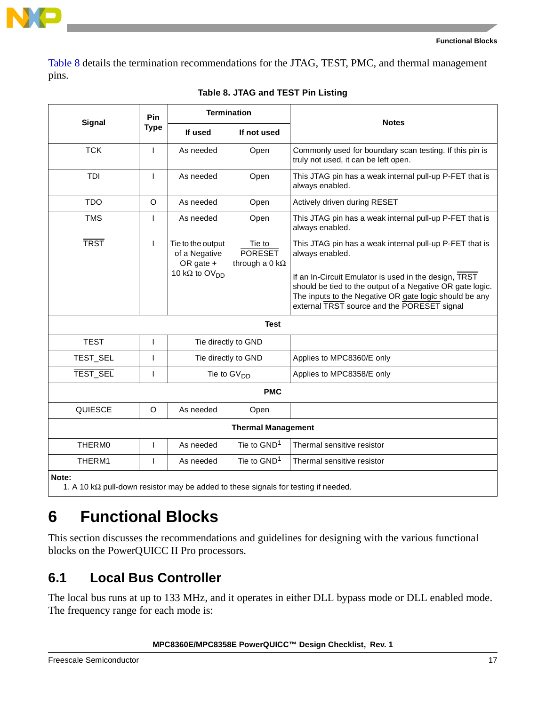

[Table 8](#page-16-0) details the termination recommendations for the JTAG, TEST, PMC, and thermal management pins.

<span id="page-16-0"></span>

|                                                                                                    | Pin<br><b>Type</b> | <b>Termination</b>                                                                   |                                                   | <b>Notes</b>                                                                                                                                                                                                                                                                                              |
|----------------------------------------------------------------------------------------------------|--------------------|--------------------------------------------------------------------------------------|---------------------------------------------------|-----------------------------------------------------------------------------------------------------------------------------------------------------------------------------------------------------------------------------------------------------------------------------------------------------------|
| <b>Signal</b>                                                                                      |                    | If used                                                                              | If not used                                       |                                                                                                                                                                                                                                                                                                           |
| <b>TCK</b>                                                                                         | $\mathbf{I}$       | As needed                                                                            | Open                                              | Commonly used for boundary scan testing. If this pin is<br>truly not used, it can be left open.                                                                                                                                                                                                           |
| <b>TDI</b>                                                                                         | T                  | As needed                                                                            | Open                                              | This JTAG pin has a weak internal pull-up P-FET that is<br>always enabled.                                                                                                                                                                                                                                |
| <b>TDO</b>                                                                                         | $\circ$            | As needed                                                                            | Open                                              | Actively driven during RESET                                                                                                                                                                                                                                                                              |
| <b>TMS</b>                                                                                         | T                  | As needed                                                                            | Open                                              | This JTAG pin has a weak internal pull-up P-FET that is<br>always enabled.                                                                                                                                                                                                                                |
| <b>TRST</b>                                                                                        | $\mathbf{I}$       | Tie to the output<br>of a Negative<br>OR gate +<br>10 k $\Omega$ to OV <sub>DD</sub> | Tie to<br><b>PORESET</b><br>through a 0 $k\Omega$ | This JTAG pin has a weak internal pull-up P-FET that is<br>always enabled.<br>If an In-Circuit Emulator is used in the design, TRST<br>should be tied to the output of a Negative OR gate logic.<br>The inputs to the Negative OR gate logic should be any<br>external TRST source and the PORESET signal |
|                                                                                                    |                    |                                                                                      | <b>Test</b>                                       |                                                                                                                                                                                                                                                                                                           |
| <b>TEST</b>                                                                                        | I                  | Tie directly to GND                                                                  |                                                   |                                                                                                                                                                                                                                                                                                           |
| TEST_SEL                                                                                           | T                  |                                                                                      | Tie directly to GND                               | Applies to MPC8360/E only                                                                                                                                                                                                                                                                                 |
| TEST_SEL                                                                                           | I                  | Tie to $GVDD$                                                                        |                                                   | Applies to MPC8358/E only                                                                                                                                                                                                                                                                                 |
|                                                                                                    |                    |                                                                                      | <b>PMC</b>                                        |                                                                                                                                                                                                                                                                                                           |
| QUIESCE                                                                                            | $\circ$            | As needed                                                                            | Open                                              |                                                                                                                                                                                                                                                                                                           |
|                                                                                                    |                    |                                                                                      | <b>Thermal Management</b>                         |                                                                                                                                                                                                                                                                                                           |
| THERM0                                                                                             | T                  | As needed                                                                            | Tie to GND <sup>1</sup>                           | Thermal sensitive resistor                                                                                                                                                                                                                                                                                |
| THERM1                                                                                             | L                  | As needed                                                                            | Tie to $GND1$                                     | Thermal sensitive resistor                                                                                                                                                                                                                                                                                |
| Note:<br>1. A 10 $k\Omega$ pull-down resistor may be added to these signals for testing if needed. |                    |                                                                                      |                                                   |                                                                                                                                                                                                                                                                                                           |

| Table 8. JTAG and TEST Pin Listing |  |  |
|------------------------------------|--|--|
|------------------------------------|--|--|

# **6 Functional Blocks**

This section discusses the recommendations and guidelines for designing with the various functional blocks on the PowerQUICC II Pro processors.

# <span id="page-16-1"></span>**6.1 Local Bus Controller**

The local bus runs at up to 133 MHz, and it operates in either DLL bypass mode or DLL enabled mode. The frequency range for each mode is: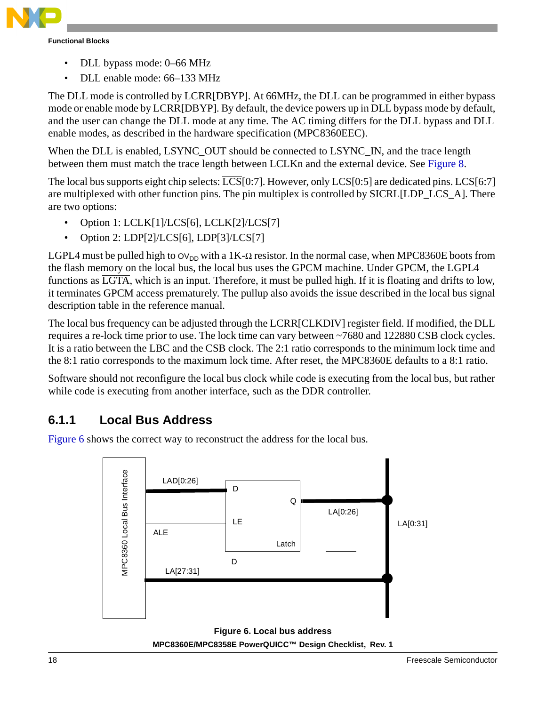

- DLL bypass mode: 0–66 MHz
- DLL enable mode: 66–133 MHz

The DLL mode is controlled by LCRR[DBYP]. At 66MHz, the DLL can be programmed in either bypass mode or enable mode by LCRR[DBYP]. By default, the device powers up in DLL bypass mode by default, and the user can change the DLL mode at any time. The AC timing differs for the DLL bypass and DLL enable modes, as described in the hardware specification (MPC8360EEC).

When the DLL is enabled, LSYNC\_OUT should be connected to LSYNC\_IN, and the trace length between them must match the trace length between LCLKn and the external device. See [Figure 8](#page-19-0).

The local bus supports eight chip selects:  $\overline{LCS}[0:7]$ . However, only LCS $[0:5]$  are dedicated pins. LCS $[6:7]$ are multiplexed with other function pins. The pin multiplex is controlled by SICRL[LDP\_LCS\_A]. There are two options:

- Option 1: LCLK[1]/LCS[6], LCLK[2]/LCS[7]
- Option 2: LDP[2]/LCS[6], LDP[3]/LCS[7]

LGPL4 must be pulled high to  $O_{\text{ND}}$  with a 1K- $\Omega$  resistor. In the normal case, when MPC8360E boots from the flash memory on the local bus, the local bus uses the GPCM machine. Under GPCM, the LGPL4 functions as LGTA, which is an input. Therefore, it must be pulled high. If it is floating and drifts to low, it terminates GPCM access prematurely. The pullup also avoids the issue described in the local bus signal description table in the reference manual.

The local bus frequency can be adjusted through the LCRR[CLKDIV] register field. If modified, the DLL requires a re-lock time prior to use. The lock time can vary between ~7680 and 122880 CSB clock cycles. It is a ratio between the LBC and the CSB clock. The 2:1 ratio corresponds to the minimum lock time and the 8:1 ratio corresponds to the maximum lock time. After reset, the MPC8360E defaults to a 8:1 ratio.

Software should not reconfigure the local bus clock while code is executing from the local bus, but rather while code is executing from another interface, such as the DDR controller.

### <span id="page-17-1"></span>**6.1.1 Local Bus Address**

[Figure 6](#page-17-0) shows the correct way to reconstruct the address for the local bus.

<span id="page-17-0"></span>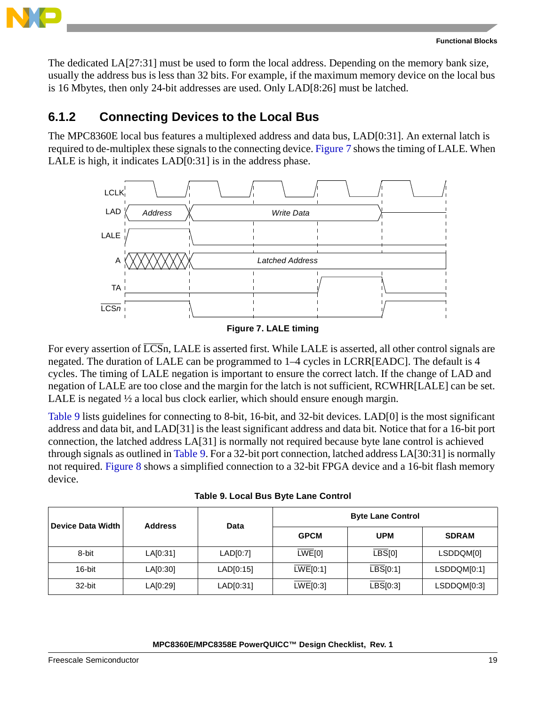

The dedicated LA[27:31] must be used to form the local address. Depending on the memory bank size, usually the address bus is less than 32 bits. For example, if the maximum memory device on the local bus is 16 Mbytes, then only 24-bit addresses are used. Only LAD[8:26] must be latched.

### **6.1.2 Connecting Devices to the Local Bus**

The MPC8360E local bus features a multiplexed address and data bus, LAD[0:31]. An external latch is required to de-multiplex these signals to the connecting device. [Figure 7](#page-18-0) shows the timing of LALE. When LALE is high, it indicates LAD[0:31] is in the address phase.



**Figure 7. LALE timing**

<span id="page-18-0"></span>For every assertion of  $\overline{LCS}$ n, LALE is asserted first. While LALE is asserted, all other control signals are negated. The duration of LALE can be programmed to 1–4 cycles in LCRR[EADC]. The default is 4 cycles. The timing of LALE negation is important to ensure the correct latch. If the change of LAD and negation of LALE are too close and the margin for the latch is not sufficient, RCWHR[LALE] can be set. LALE is negated  $\frac{1}{2}$  a local bus clock earlier, which should ensure enough margin.

[Table 9](#page-18-1) lists guidelines for connecting to 8-bit, 16-bit, and 32-bit devices. LAD[0] is the most significant address and data bit, and LAD[31] is the least significant address and data bit. Notice that for a 16-bit port connection, the latched address LA[31] is normally not required because byte lane control is achieved through signals as outlined in [Table 9](#page-18-1). For a 32-bit port connection, latched address LA[30:31] is normally not required. [Figure 8](#page-19-0) shows a simplified connection to a 32-bit FPGA device and a 16-bit flash memory device.

<span id="page-18-1"></span>

| rapic J. Local Dus Dyte Lane Control |                |           |             |                          |              |  |  |  |
|--------------------------------------|----------------|-----------|-------------|--------------------------|--------------|--|--|--|
| <b>Device Data Width</b>             | <b>Address</b> | Data      |             | <b>Byte Lane Control</b> |              |  |  |  |
|                                      |                |           | <b>GPCM</b> | <b>UPM</b>               | <b>SDRAM</b> |  |  |  |
| 8-bit                                | LA[0:31]       | LAD[0:7]  | LWE[0]      | LBS[0]                   | LSDDQM[0]    |  |  |  |
| 16-bit                               | LA[0:30]       | LAD[0:15] | LWE[0:1]    | $\overline{LBS}[0:1]$    | LSDDQM[0:1]  |  |  |  |
| 32-bit                               | LA[0:29]       | LAD[0:31] | LWE[0:3]    | LBS[0:3]                 | LSDDQM[0:3]  |  |  |  |

**Table 9. Local Bus Byte Lane Control**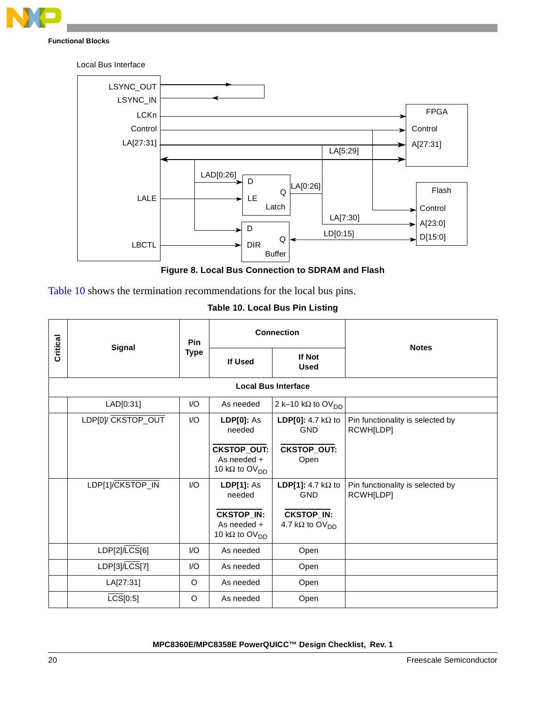



**Figure 8. Local Bus Connection to SDRAM and Flash**

<span id="page-19-0"></span>[Table 10](#page-19-1) shows the termination recommendations for the local bus pins.

|  |  | Table 10. Local Bus Pin Listing |
|--|--|---------------------------------|
|  |  |                                 |

<span id="page-19-1"></span>

|          |                            | <b>Pin</b>              |                                                                                                      | <b>Connection</b>                                                                                  | <b>Notes</b>                                  |  |  |  |
|----------|----------------------------|-------------------------|------------------------------------------------------------------------------------------------------|----------------------------------------------------------------------------------------------------|-----------------------------------------------|--|--|--|
| Critical | <b>Signal</b>              | <b>Type</b>             | If Used                                                                                              | <b>If Not</b><br><b>Used</b>                                                                       |                                               |  |  |  |
|          | <b>Local Bus Interface</b> |                         |                                                                                                      |                                                                                                    |                                               |  |  |  |
|          | LAD[0:31]                  | I/O                     | As needed                                                                                            | 2 k-10 kΩ to OV <sub>DD</sub>                                                                      |                                               |  |  |  |
|          | LDP[0]/ CKSTOP_OUT         | I/O                     | <b>LDP[0]: As</b><br>needed                                                                          | LDP[0]: 4.7 k $\Omega$ to<br><b>GND</b>                                                            | Pin functionality is selected by<br>RCWH[LDP] |  |  |  |
|          |                            |                         | <b>CKSTOP_OUT:</b><br>As needed +<br>10 k $\Omega$ to OV <sub>DD</sub>                               | <b>CKSTOP_OUT:</b><br>Open                                                                         |                                               |  |  |  |
|          | LDP[1]/CKSTOP_IN           | $\mathsf{IO}$           | <b>LDP[1]: As</b><br>needed<br><b>CKSTOP_IN:</b><br>As needed +<br>10 k $\Omega$ to OV <sub>DD</sub> | LDP[1]: 4.7 k $\Omega$ to<br><b>GND</b><br><b>CKSTOP_IN:</b><br>4.7 k $\Omega$ to OV <sub>DD</sub> | Pin functionality is selected by<br>RCWH[LDP] |  |  |  |
|          | LDP[2]/LCS[6]              | $\mathsf{I}/\mathsf{O}$ | As needed                                                                                            | Open                                                                                               |                                               |  |  |  |
|          | LDP[3]/LCS[7]              | I/O                     | As needed                                                                                            | Open                                                                                               |                                               |  |  |  |
|          | LA[27:31]                  | O                       | As needed                                                                                            | Open                                                                                               |                                               |  |  |  |
|          | $\overline{LCS}[0:5]$      | O                       | As needed                                                                                            | Open                                                                                               |                                               |  |  |  |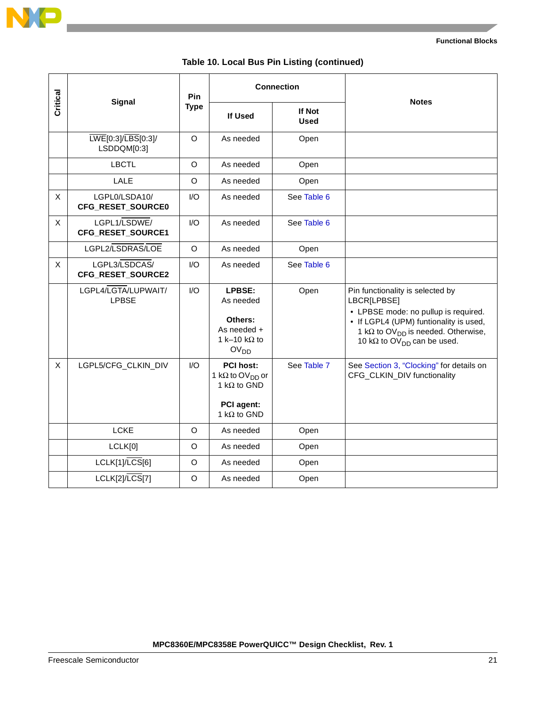

|  |  | Table 10. Local Bus Pin Listing (continued) |  |
|--|--|---------------------------------------------|--|
|--|--|---------------------------------------------|--|

|          |                                     | Pin         |                                                                                                                            | <b>Connection</b>     |                                                                                                                                                                                                                                               |
|----------|-------------------------------------|-------------|----------------------------------------------------------------------------------------------------------------------------|-----------------------|-----------------------------------------------------------------------------------------------------------------------------------------------------------------------------------------------------------------------------------------------|
| Critical | Signal                              | <b>Type</b> | If Used                                                                                                                    | If Not<br><b>Used</b> | <b>Notes</b>                                                                                                                                                                                                                                  |
|          | LWE[0:3]/LBS[0:3]/<br>LSDDQM[0:3]   | $\Omega$    | As needed                                                                                                                  | Open                  |                                                                                                                                                                                                                                               |
|          | <b>LBCTL</b>                        | $\Omega$    | As needed                                                                                                                  | Open                  |                                                                                                                                                                                                                                               |
|          | LALE                                | O           | As needed                                                                                                                  | Open                  |                                                                                                                                                                                                                                               |
| X        | LGPL0/LSDA10/<br>CFG_RESET_SOURCE0  | I/O         | As needed                                                                                                                  | See Table 6           |                                                                                                                                                                                                                                               |
| X        | LGPL1/LSDWE/<br>CFG_RESET_SOURCE1   | I/O         | As needed                                                                                                                  | See Table 6           |                                                                                                                                                                                                                                               |
|          | LGPL2/LSDRAS/LOE                    | O           | As needed                                                                                                                  | Open                  |                                                                                                                                                                                                                                               |
| X        | LGPL3/LSDCAS/<br>CFG_RESET_SOURCE2  | I/O         | As needed                                                                                                                  | See Table 6           |                                                                                                                                                                                                                                               |
|          | LGPL4/LGTA/LUPWAIT/<br><b>LPBSE</b> | I/O         | LPBSE:<br>As needed<br>Others:<br>As needed +<br>1 k-10 k $\Omega$ to<br>OV <sub>DD</sub>                                  | Open                  | Pin functionality is selected by<br>LBCR[LPBSE]<br>• LPBSE mode: no pullup is required.<br>• If LGPL4 (UPM) funtionality is used,<br>1 k $\Omega$ to OV <sub>DD</sub> is needed. Otherwise,<br>10 k $\Omega$ to OV <sub>DD</sub> can be used. |
| X        | LGPL5/CFG_CLKIN_DIV                 | 1/O         | <b>PCI host:</b><br>1 k $\Omega$ to OV <sub>DD</sub> or<br>1 k $\Omega$ to GND<br><b>PCI</b> agent:<br>1 k $\Omega$ to GND | See Table 7           | See Section 3, "Clocking" for details on<br>CFG_CLKIN_DIV functionality                                                                                                                                                                       |
|          | <b>LCKE</b>                         | O           | As needed                                                                                                                  | Open                  |                                                                                                                                                                                                                                               |
|          | LCLK[0]                             | O           | As needed                                                                                                                  | Open                  |                                                                                                                                                                                                                                               |
|          | LCLK[1]/LCS[6]                      | O           | As needed                                                                                                                  | Open                  |                                                                                                                                                                                                                                               |
|          | LCLK[2]/LCS[7]                      | $\mathsf O$ | As needed                                                                                                                  | Open                  |                                                                                                                                                                                                                                               |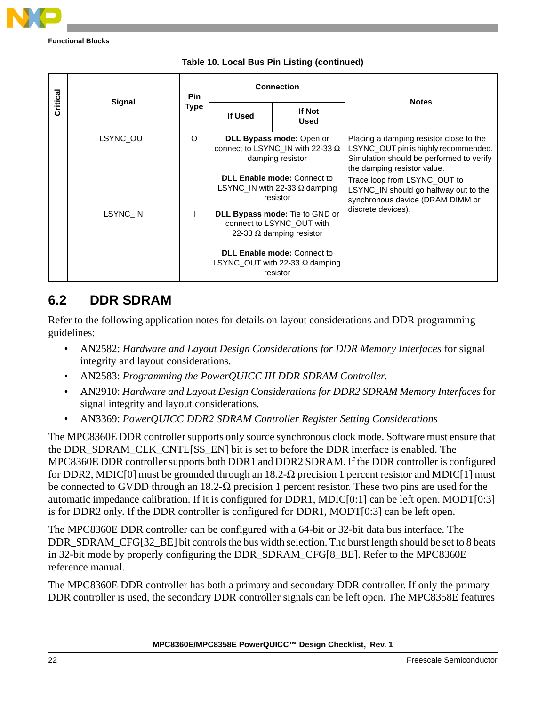

|          |           | <b>Pin</b><br>Type | <b>Connection</b>                                                                                     |                |                                                                                                                                                            |
|----------|-----------|--------------------|-------------------------------------------------------------------------------------------------------|----------------|------------------------------------------------------------------------------------------------------------------------------------------------------------|
| Critical | Signal    |                    | If Used                                                                                               | If Not<br>Used | <b>Notes</b>                                                                                                                                               |
|          | LSYNC OUT | O                  | DLL Bypass mode: Open or<br>connect to LSYNC_IN with 22-33 $\Omega$<br>damping resistor               |                | Placing a damping resistor close to the<br>LSYNC_OUT pin is highly recommended.<br>Simulation should be performed to verify<br>the damping resistor value. |
|          |           |                    | <b>DLL Enable mode: Connect to</b><br>LSYNC IN with 22-33 $\Omega$ damping<br>resistor                |                | Trace loop from LSYNC OUT to<br>LSYNC_IN should go halfway out to the<br>synchronous device (DRAM DIMM or                                                  |
|          | LSYNC IN  |                    | <b>DLL Bypass mode:</b> Tie to GND or<br>connect to LSYNC OUT with<br>22-33 $\Omega$ damping resistor |                | discrete devices).                                                                                                                                         |
|          |           |                    | <b>DLL Enable mode: Connect to</b><br>LSYNC_OUT with 22-33 $\Omega$ damping<br>resistor               |                |                                                                                                                                                            |

#### **Table 10. Local Bus Pin Listing (continued)**

### **6.2 DDR SDRAM**

Refer to the following application notes for details on layout considerations and DDR programming guidelines:

- AN2582: *Hardware and Layout Design Considerations for DDR Memory Interfaces* for signal integrity and layout considerations.
- AN2583: *Programming the PowerQUICC III DDR SDRAM Controller*.
- AN2910: *Hardware and Layout Design Considerations for DDR2 SDRAM Memory Interfaces* for signal integrity and layout considerations.
- AN3369: *PowerQUICC DDR2 SDRAM Controller Register Setting Considerations*

The MPC8360E DDR controller supports only source synchronous clock mode. Software must ensure that the DDR\_SDRAM\_CLK\_CNTL[SS\_EN] bit is set to before the DDR interface is enabled. The MPC8360E DDR controller supports both DDR1 and DDR2 SDRAM. If the DDR controller is configured for DDR2, MDIC[0] must be grounded through an 18.2- $\Omega$  precision 1 percent resistor and MDIC[1] must be connected to GVDD through an 18.2-Ω precision 1 percent resistor. These two pins are used for the automatic impedance calibration. If it is configured for DDR1, MDIC[0:1] can be left open. MODT[0:3] is for DDR2 only. If the DDR controller is configured for DDR1, MODT[0:3] can be left open.

The MPC8360E DDR controller can be configured with a 64-bit or 32-bit data bus interface. The DDR\_SDRAM\_CFG[32\_BE] bit controls the bus width selection. The burst length should be set to 8 beats in 32-bit mode by properly configuring the DDR\_SDRAM\_CFG[8\_BE]. Refer to the MPC8360E reference manual.

The MPC8360E DDR controller has both a primary and secondary DDR controller. If only the primary DDR controller is used, the secondary DDR controller signals can be left open. The MPC8358E features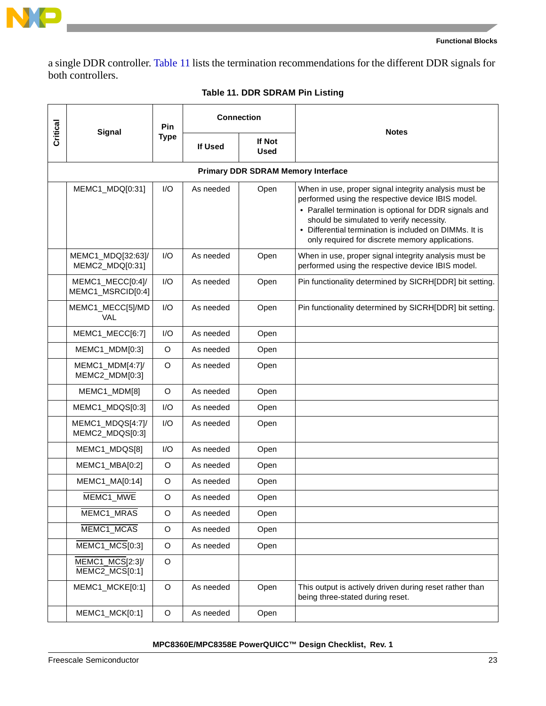

a single DDR controller. [Table 11](#page-22-0) lists the termination recommendations for the different DDR signals for both controllers.

<span id="page-22-0"></span>

|          | <b>Signal</b>                         | Pin         |           | <b>Connection</b>                         | <b>Notes</b>                                                                                                                                                                                                                                                                                                                  |  |
|----------|---------------------------------------|-------------|-----------|-------------------------------------------|-------------------------------------------------------------------------------------------------------------------------------------------------------------------------------------------------------------------------------------------------------------------------------------------------------------------------------|--|
| Critical |                                       | <b>Type</b> | If Used   | If Not<br>Used                            |                                                                                                                                                                                                                                                                                                                               |  |
|          |                                       |             |           | <b>Primary DDR SDRAM Memory Interface</b> |                                                                                                                                                                                                                                                                                                                               |  |
|          | MEMC1_MDQ[0:31]                       | I/O         | As needed | Open                                      | When in use, proper signal integrity analysis must be<br>performed using the respective device IBIS model.<br>• Parallel termination is optional for DDR signals and<br>should be simulated to verify necessity.<br>• Differential termination is included on DIMMs. It is<br>only required for discrete memory applications. |  |
|          | MEMC1_MDQ[32:63]/<br>MEMC2_MDQ[0:31]  | I/O         | As needed | Open                                      | When in use, proper signal integrity analysis must be<br>performed using the respective device IBIS model.                                                                                                                                                                                                                    |  |
|          | MEMC1_MECC[0:4]/<br>MEMC1_MSRCID[0:4] | I/O         | As needed | Open                                      | Pin functionality determined by SICRH[DDR] bit setting.                                                                                                                                                                                                                                                                       |  |
|          | MEMC1_MECC[5]/MD<br>VAL               | I/O         | As needed | Open                                      | Pin functionality determined by SICRH[DDR] bit setting.                                                                                                                                                                                                                                                                       |  |
|          | MEMC1_MECC[6:7]                       | I/O         | As needed | Open                                      |                                                                                                                                                                                                                                                                                                                               |  |
|          | MEMC1_MDM[0:3]                        | $\circ$     | As needed | Open                                      |                                                                                                                                                                                                                                                                                                                               |  |
|          | MEMC1_MDM[4:7]/<br>MEMC2_MDM[0:3]     | $\circ$     | As needed | Open                                      |                                                                                                                                                                                                                                                                                                                               |  |
|          | MEMC1_MDM[8]                          | O           | As needed | Open                                      |                                                                                                                                                                                                                                                                                                                               |  |
|          | MEMC1_MDQS[0:3]                       | I/O         | As needed | Open                                      |                                                                                                                                                                                                                                                                                                                               |  |
|          | MEMC1_MDQS[4:7]/<br>MEMC2_MDQS[0:3]   | I/O         | As needed | Open                                      |                                                                                                                                                                                                                                                                                                                               |  |
|          | MEMC1_MDQS[8]                         | I/O         | As needed | Open                                      |                                                                                                                                                                                                                                                                                                                               |  |
|          | MEMC1_MBA[0:2]                        | O           | As needed | Open                                      |                                                                                                                                                                                                                                                                                                                               |  |
|          | MEMC1_MA[0:14]                        | O           | As needed | Open                                      |                                                                                                                                                                                                                                                                                                                               |  |
|          | MEMC1_MWE                             | $\circ$     | As needed | Open                                      |                                                                                                                                                                                                                                                                                                                               |  |
|          | MEMC1_MRAS                            | O           | As needed | Open                                      |                                                                                                                                                                                                                                                                                                                               |  |
|          | MEMC1_MCAS                            | $\mathsf O$ | As needed | Open                                      |                                                                                                                                                                                                                                                                                                                               |  |
|          | $MEMC1_MCS[0:3]$                      | $\mathsf O$ | As needed | Open                                      |                                                                                                                                                                                                                                                                                                                               |  |
|          | MEMC1_MCS[2:3]/<br>$MEMC2_MCS[0:1]$   | O           |           |                                           |                                                                                                                                                                                                                                                                                                                               |  |
|          | MEMC1_MCKE[0:1]                       | $\circ$     | As needed | Open                                      | This output is actively driven during reset rather than<br>being three-stated during reset.                                                                                                                                                                                                                                   |  |
|          | MEMC1_MCK[0:1]                        | $\circ$     | As needed | Open                                      |                                                                                                                                                                                                                                                                                                                               |  |

#### **Table 11. DDR SDRAM Pin Listing**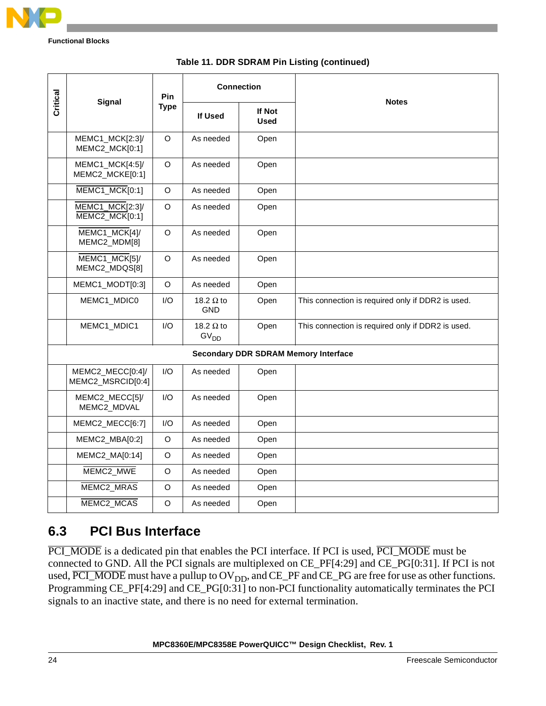

| Table 11. DDR SDRAM Pin Listing (continued) |  |
|---------------------------------------------|--|
|---------------------------------------------|--|

| Critical | <b>Signal</b>                         | Pin         |                                      | <b>Connection</b>     | <b>Notes</b>                                      |
|----------|---------------------------------------|-------------|--------------------------------------|-----------------------|---------------------------------------------------|
|          |                                       | <b>Type</b> | <b>If Used</b>                       | If Not<br><b>Used</b> |                                                   |
|          | MEMC1_MCK[2:3]/<br>MEMC2_MCK[0:1]     | $\circ$     | As needed                            | Open                  |                                                   |
|          | MEMC1_MCK[4:5]/<br>MEMC2_MCKE[0:1]    | O           | As needed                            | Open                  |                                                   |
|          | MEMC1_MCK[0:1]                        | $\circ$     | As needed                            | Open                  |                                                   |
|          | MEMC1_MCK[2:3]/<br>MEMC2_MCK[0:1]     | $\circ$     | As needed                            | Open                  |                                                   |
|          | MEMC1_MCK[4]/<br>MEMC2_MDM[8]         | $\circ$     | As needed                            | Open                  |                                                   |
|          | MEMC1_MCK[5]/<br>MEMC2_MDQS[8]        | $\Omega$    | As needed                            | Open                  |                                                   |
|          | MEMC1_MODT[0:3]                       | O           | As needed                            | Open                  |                                                   |
|          | MEMC1_MDIC0                           | I/O         | 18.2 $\Omega$ to<br><b>GND</b>       | Open                  | This connection is required only if DDR2 is used. |
|          | MEMC1_MDIC1                           | 1/O         | 18.2 $\Omega$ to<br>GV <sub>DD</sub> | Open                  | This connection is required only if DDR2 is used. |
|          |                                       |             |                                      |                       | <b>Secondary DDR SDRAM Memory Interface</b>       |
|          | MEMC2_MECC[0:4]/<br>MEMC2_MSRCID[0:4] | I/O         | As needed                            | Open                  |                                                   |
|          | MEMC2_MECC[5]/<br>MEMC2_MDVAL         | I/O         | As needed                            | Open                  |                                                   |
|          | MEMC2_MECC[6:7]                       | I/O         | As needed                            | Open                  |                                                   |
|          | MEMC2_MBA[0:2]                        | $\circ$     | As needed                            | Open                  |                                                   |
|          | MEMC2_MA[0:14]                        | O           | As needed                            | Open                  |                                                   |
|          | MEMC2_MWE                             | $\circ$     | As needed                            | Open                  |                                                   |
|          | MEMC2_MRAS                            | $\circ$     | As needed                            | Open                  |                                                   |
|          | MEMC2_MCAS                            | $\circ$     | As needed                            | Open                  |                                                   |

## **6.3 PCI Bus Interface**

PCI\_MODE is a dedicated pin that enables the PCI interface. If PCI is used, PCI\_MODE must be connected to GND. All the PCI signals are multiplexed on CE\_PF[4:29] and CE\_PG[0:31]. If PCI is not used,  $\overline{PCI\_MODE}$  must have a pullup to  $\overline{OV}_{DD}$ , and  $\overline{CE\_PF}$  and  $\overline{CE\_PG}$  are free for use as other functions. Programming CE\_PF[4:29] and CE\_PG[0:31] to non-PCI functionality automatically terminates the PCI signals to an inactive state, and there is no need for external termination.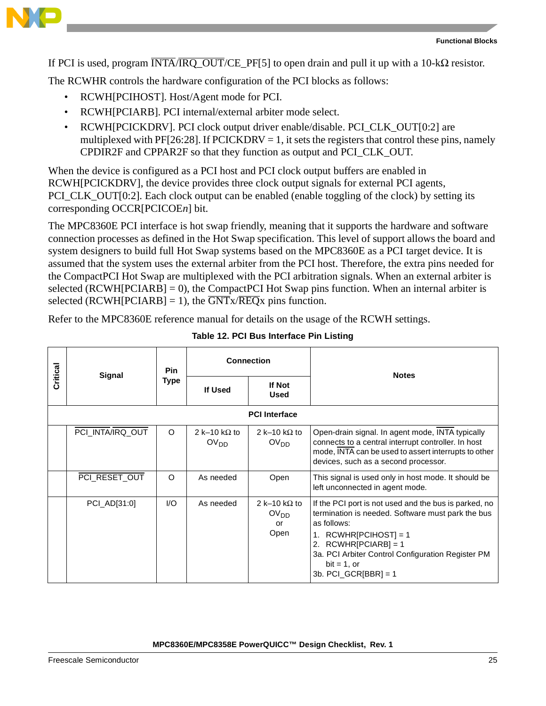

If PCI is used, program  $\overline{\text{INTA}}/\overline{\text{IRQ\_OUT}}/\text{CE\_PF[5]}$  to open drain and pull it up with a 10-k $\Omega$  resistor.

The RCWHR controls the hardware configuration of the PCI blocks as follows:

- RCWH[PCIHOST]. Host/Agent mode for PCI.
- RCWH[PCIARB]. PCI internal/external arbiter mode select.
- RCWH[PCICKDRV]. PCI clock output driver enable/disable. PCI\_CLK\_OUT[0:2] are multiplexed with PF[26:28]. If PCICKDRV = 1, it sets the registers that control these pins, namely CPDIR2F and CPPAR2F so that they function as output and PCI\_CLK\_OUT.

When the device is configured as a PCI host and PCI clock output buffers are enabled in RCWH[PCICKDRV], the device provides three clock output signals for external PCI agents, PCI\_CLK\_OUT[0:2]. Each clock output can be enabled (enable toggling of the clock) by setting its corresponding OCCR[PCICOE*n*] bit.

The MPC8360E PCI interface is hot swap friendly, meaning that it supports the hardware and software connection processes as defined in the Hot Swap specification. This level of support allows the board and system designers to build full Hot Swap systems based on the MPC8360E as a PCI target device. It is assumed that the system uses the external arbiter from the PCI host. Therefore, the extra pins needed for the CompactPCI Hot Swap are multiplexed with the PCI arbitration signals. When an external arbiter is selected ( $RCWH[PCIARB] = 0$ ), the CompactPCI Hot Swap pins function. When an internal arbiter is selected (RCWH[PCIARB] = 1), the  $\overline{GNTx/REDx}$  pins function.

Refer to the MPC8360E reference manual for details on the usage of the RCWH settings.

| Critical | Signal               | <b>Pin</b> | <b>Connection</b>                        |                                                        |                                                                                                                                                                                                                                                                                     |              |  |  |
|----------|----------------------|------------|------------------------------------------|--------------------------------------------------------|-------------------------------------------------------------------------------------------------------------------------------------------------------------------------------------------------------------------------------------------------------------------------------------|--------------|--|--|
|          |                      |            | <b>Type</b>                              | <b>If Used</b>                                         | If Not<br><b>Used</b>                                                                                                                                                                                                                                                               | <b>Notes</b> |  |  |
|          | <b>PCI</b> Interface |            |                                          |                                                        |                                                                                                                                                                                                                                                                                     |              |  |  |
|          | PCI_INTA/IRQ_OUT     | $\circ$    | 2 k-10 k $\Omega$ to<br>OV <sub>DD</sub> | 2 k–10 k $\Omega$ to<br>OV <sub>DD</sub>               | Open-drain signal. In agent mode, INTA typically<br>connects to a central interrupt controller. In host<br>mode, INTA can be used to assert interrupts to other<br>devices, such as a second processor.                                                                             |              |  |  |
|          | PCI_RESET_OUT        | $\Omega$   | As needed                                | Open                                                   | This signal is used only in host mode. It should be<br>left unconnected in agent mode.                                                                                                                                                                                              |              |  |  |
|          | PCI_AD[31:0]         | $UO$       | As needed                                | 2 k-10 k $\Omega$ to<br>OV <sub>DD</sub><br>or<br>Open | If the PCI port is not used and the bus is parked, no<br>termination is needed. Software must park the bus<br>as follows:<br>1. $RCWHR[PCIHOST] = 1$<br>$RCWHR[PCIARB] = 1$<br>2.<br>3a. PCI Arbiter Control Configuration Register PM<br>$bit = 1$ , or<br>3b. PCI_GCR $[BBR] = 1$ |              |  |  |

|  | Table 12. PCI Bus Interface Pin Listing |  |
|--|-----------------------------------------|--|
|  |                                         |  |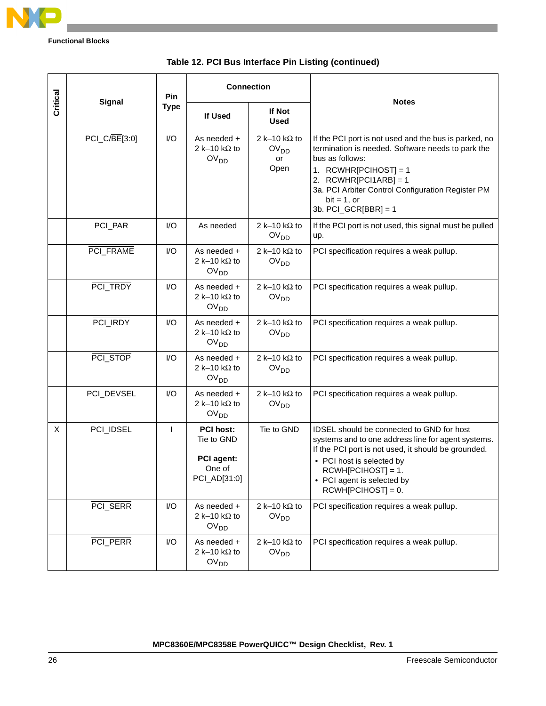

|   | Critical<br><b>Signal</b> |              | <b>Connection</b>                                                             |                                                        | <b>Notes</b>                                                                                                                                                                                                                                                                      |
|---|---------------------------|--------------|-------------------------------------------------------------------------------|--------------------------------------------------------|-----------------------------------------------------------------------------------------------------------------------------------------------------------------------------------------------------------------------------------------------------------------------------------|
|   |                           | <b>Type</b>  | If Used                                                                       | If Not<br><b>Used</b>                                  |                                                                                                                                                                                                                                                                                   |
|   | $PCI_C/BE[3:0]$           | I/O          | As needed +<br>2 k-10 k $\Omega$ to<br>OV <sub>DD</sub>                       | 2 k-10 k $\Omega$ to<br>OV <sub>DD</sub><br>or<br>Open | If the PCI port is not used and the bus is parked, no<br>termination is needed. Software needs to park the<br>bus as follows:<br>1. RCWHR[PCIHOST] = 1<br>2. $RCWHR[PCI1ARB] = 1$<br>3a. PCI Arbiter Control Configuration Register PM<br>$bit = 1, or$<br>3b. $PCI_GCR[BBR] = 1$ |
|   | PCI_PAR                   | $U$          | As needed                                                                     | 2 k-10 k $\Omega$ to<br>OV <sub>DD</sub>               | If the PCI port is not used, this signal must be pulled<br>up.                                                                                                                                                                                                                    |
|   | PCI_FRAME                 | I/O          | As needed +<br>2 k-10 k $\Omega$ to<br>OV <sub>DD</sub>                       | 2 k-10 k $\Omega$ to<br>OV <sub>DD</sub>               | PCI specification requires a weak pullup.                                                                                                                                                                                                                                         |
|   | PCI_TRDY                  | $U$          | As needed +<br>2 k-10 k $\Omega$ to<br>OV <sub>DD</sub>                       | 2 k-10 k $\Omega$ to<br>OV <sub>DD</sub>               | PCI specification requires a weak pullup.                                                                                                                                                                                                                                         |
|   | PCI_IRDY                  | $U$          | As needed +<br>2 k-10 k $\Omega$ to<br>OV <sub>DD</sub>                       | 2 k-10 k $\Omega$ to<br>OV <sub>DD</sub>               | PCI specification requires a weak pullup.                                                                                                                                                                                                                                         |
|   | PCI_STOP                  | I/O          | As needed +<br>2 k-10 k $\Omega$ to<br>OV <sub>DD</sub>                       | 2 k-10 k $\Omega$ to<br>OV <sub>DD</sub>               | PCI specification requires a weak pullup.                                                                                                                                                                                                                                         |
|   | PCI_DEVSEL                | $U$          | As needed +<br>2 k-10 k $\Omega$ to<br>OV <sub>DD</sub>                       | 2 k-10 k $\Omega$ to<br>OV <sub>DD</sub>               | PCI specification requires a weak pullup.                                                                                                                                                                                                                                         |
| X | PCI_IDSEL                 | $\mathbf{I}$ | <b>PCI host:</b><br>Tie to GND<br><b>PCI</b> agent:<br>One of<br>PCI_AD[31:0] | Tie to GND                                             | IDSEL should be connected to GND for host<br>systems and to one address line for agent systems.<br>If the PCI port is not used, it should be grounded.<br>• PCI host is selected by<br>$RCWH[PCIHOST] = 1.$<br>• PCI agent is selected by<br>$RCWH[PCIHOST] = 0.$                 |
|   | PCI_SERR                  | I/O          | As needed +<br>2 k-10 k $\Omega$ to<br>OV <sub>DD</sub>                       | 2 k-10 k $\Omega$ to<br>OV <sub>DD</sub>               | PCI specification requires a weak pullup.                                                                                                                                                                                                                                         |
|   | PCI_PERR                  | I/O          | As needed +<br>2 k-10 k $\Omega$ to<br>OV <sub>DD</sub>                       | 2 k-10 k $\Omega$ to<br>OV <sub>DD</sub>               | PCI specification requires a weak pullup.                                                                                                                                                                                                                                         |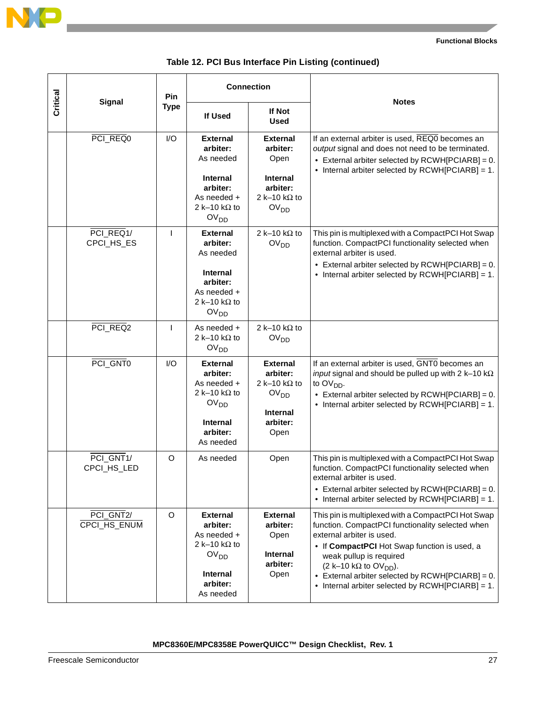

| Critical<br><b>Signal</b> |              | <b>Connection</b>                                                                                                                                      |                                                                                                                | <b>Notes</b>                                                                                                                                                                                                                                                                                                                                                 |
|---------------------------|--------------|--------------------------------------------------------------------------------------------------------------------------------------------------------|----------------------------------------------------------------------------------------------------------------|--------------------------------------------------------------------------------------------------------------------------------------------------------------------------------------------------------------------------------------------------------------------------------------------------------------------------------------------------------------|
|                           | <b>Type</b>  | <b>If Used</b>                                                                                                                                         | If Not<br><b>Used</b>                                                                                          |                                                                                                                                                                                                                                                                                                                                                              |
| PCI_REQ0                  | I/O          | <b>External</b><br>arbiter:<br>As needed<br>Internal<br>arbiter:<br>As needed +<br>2 k-10 k $\Omega$ to                                                | <b>External</b><br>arbiter:<br>Open<br><b>Internal</b><br>arbiter:<br>2 k-10 k $\Omega$ to<br>OV <sub>DD</sub> | If an external arbiter is used, REQ0 becomes an<br>output signal and does not need to be terminated.<br>$\bullet$ External arbiter selected by RCWH[PCIARB] = 0.<br>• Internal arbiter selected by RCWH[PCIARB] = 1.                                                                                                                                         |
| PCI_REQ1/<br>CPCI_HS_ES   | $\mathbf{I}$ | OV <sub>DD</sub><br><b>External</b><br>arbiter:<br>As needed<br><b>Internal</b><br>arbiter:<br>As needed +<br>2 k-10 k $\Omega$ to<br>OV <sub>DD</sub> | 2 k-10 k $\Omega$ to<br>OV <sub>DD</sub>                                                                       | This pin is multiplexed with a CompactPCI Hot Swap<br>function. CompactPCI functionality selected when<br>external arbiter is used.<br>$\bullet$ External arbiter selected by RCWH[PCIARB] = 0.<br>$\bullet$ Internal arbiter selected by RCWH[PCIARB] = 1.                                                                                                  |
| PCI_REQ2                  | $\mathbf{I}$ | As needed +<br>2 k-10 k $\Omega$ to<br>OV <sub>DD</sub>                                                                                                | 2 k-10 k $\Omega$ to<br>OV <sub>DD</sub>                                                                       |                                                                                                                                                                                                                                                                                                                                                              |
| PCI_GNT0                  | I/O          | <b>External</b><br>arbiter:<br>As needed +<br>2 k-10 k $\Omega$ to<br>OV <sub>DD</sub><br><b>Internal</b><br>arbiter:<br>As needed                     | <b>External</b><br>arbiter:<br>2 k-10 k $\Omega$ to<br>OV <sub>DD</sub><br><b>Internal</b><br>arbiter:<br>Open | If an external arbiter is used, GNT0 becomes an<br>input signal and should be pulled up with 2 k-10 k $\Omega$<br>to OV <sub>DD</sub> .<br>• External arbiter selected by $RCWH[PCIARB] = 0$ .<br>• Internal arbiter selected by RCWH[PCIARB] = 1.                                                                                                           |
| PCI_GNT1/<br>CPCI_HS_LED  | O            | As needed                                                                                                                                              | Open                                                                                                           | This pin is multiplexed with a CompactPCI Hot Swap<br>function. CompactPCI functionality selected when<br>external arbiter is used.<br>• External arbiter selected by $RCWH[PCIARB] = 0$ .<br>$\bullet$ Internal arbiter selected by RCWH[PCIARB] = 1.                                                                                                       |
| PCI_GNT2/<br>CPCI_HS_ENUM | O            | <b>External</b><br>arbiter:<br>As needed +<br>2 k-10 k $\Omega$ to<br>OV <sub>DD</sub><br><b>Internal</b><br>arbiter:<br>As needed                     | <b>External</b><br>arbiter:<br>Open<br><b>Internal</b><br>arbiter:<br>Open                                     | This pin is multiplexed with a CompactPCI Hot Swap<br>function. CompactPCI functionality selected when<br>external arbiter is used.<br>• If CompactPCI Hot Swap function is used, a<br>weak pullup is required<br>(2 k-10 kΩ to $OVDD$ ).<br>• External arbiter selected by $RCWH[PCIARB] = 0$ .<br>$\bullet$ Internal arbiter selected by RCWH[PCIARB] = 1. |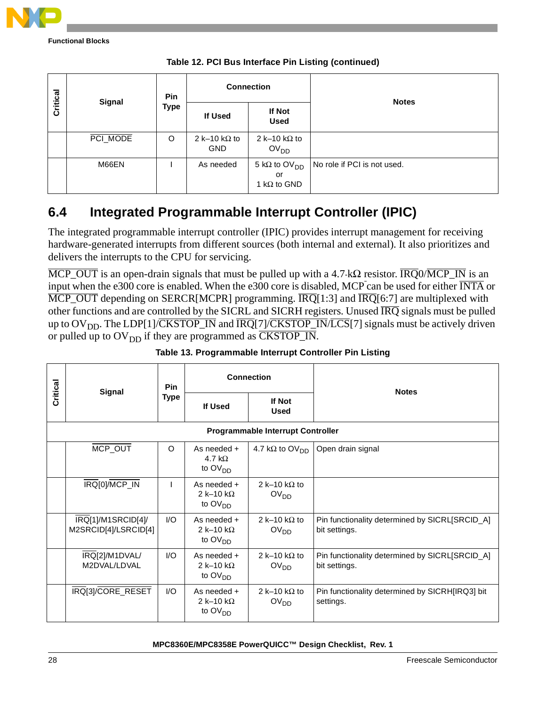

|          | Pin<br>Signal |             | <b>Connection</b>                  |                                                               |                             |
|----------|---------------|-------------|------------------------------------|---------------------------------------------------------------|-----------------------------|
| Critical |               | <b>Type</b> | If Used                            | If Not<br><b>Used</b>                                         | <b>Notes</b>                |
|          | PCI_MODE      | $\circ$     | 2 k-10 k $\Omega$ to<br><b>GND</b> | 2 k-10 k $\Omega$ to<br>OV <sub>DD</sub>                      |                             |
|          | M66EN         |             | As needed                          | 5 k $\Omega$ to OV <sub>DD</sub><br>or<br>1 k $\Omega$ to GND | No role if PCI is not used. |

## <span id="page-27-0"></span>**6.4 Integrated Programmable Interrupt Controller (IPIC)**

The integrated programmable interrupt controller (IPIC) provides interrupt management for receiving hardware-generated interrupts from different sources (both internal and external). It also prioritizes and delivers the interrupts to the CPU for servicing.

MCP\_OUT is an open-drain signals that must be pulled up with a 4.7-k $\Omega$  resistor.  $\overline{IRQ}0/\overline{MCP}$  is an input when the e300 core is enabled. When the e300 core is disabled, MCP can be used for either INTA or  $\overline{\text{MCP\_OUT}}$  depending on SERCR[MCPR] programming.  $\overline{\text{IRQ}}[1:3]$  and  $\overline{\text{IRQ}}[6:7]$  are multiplexed with other functions and are controlled by the SICRL and SICRH registers. Unused IRQ signals must be pulled up to  $\overline{OV}_{DD}$ . The LDP[1]/CKSTOP\_IN and  $\overline{IRQ}[7]$ /CKSTOP\_IN/LCS[7] signals must be actively driven or pulled up to  $\text{OV}_{\text{DD}}$  if they are programmed as  $\overline{\text{CKSTOP\_IN}}$ .

| Critical | Signal                                     | Pin<br><b>Type</b>      | <b>Connection</b>                                              |                                           | <b>Notes</b>                                                    |
|----------|--------------------------------------------|-------------------------|----------------------------------------------------------------|-------------------------------------------|-----------------------------------------------------------------|
|          |                                            |                         | If Used                                                        | If Not<br><b>Used</b>                     |                                                                 |
|          |                                            |                         |                                                                | <b>Programmable Interrupt Controller</b>  |                                                                 |
|          | MCP_OUT                                    | $\circ$                 | As needed +<br>$4.7 k\Omega$<br>to OV <sub>DD</sub>            | 4.7 k $\Omega$ to $\text{OV}_{\text{DD}}$ | Open drain signal                                               |
|          | IRQ[0]/MCP_IN                              |                         | As needed +<br>2 k-10 k $\Omega$<br>to $\text{OV}_{\text{DD}}$ | 2 k-10 k $\Omega$ to<br>OV <sub>DD</sub>  |                                                                 |
|          | IRQ[1]/M1SRCID[4]/<br>M2SRCID[4]/LSRCID[4] | $\mathsf{I}/\mathsf{O}$ | As needed +<br>2 k-10 k $\Omega$<br>to $\text{OV}_{\text{DD}}$ | 2 k-10 k $\Omega$ to<br>OV <sub>DD</sub>  | Pin functionality determined by SICRL[SRCID_A]<br>bit settings. |
|          | IRQ[2]/M1DVAL/<br>M2DVAL /LDVAL            | $\mathsf{I}/\mathsf{O}$ | As needed +<br>2 k-10 k $\Omega$<br>to $\text{OV}_{\text{DD}}$ | 2 k-10 k $\Omega$ to<br>OV <sub>DD</sub>  | Pin functionality determined by SICRL[SRCID_A]<br>bit settings. |
|          | IRQ[3]/CORE_RESET                          | $\mathsf{U}\mathsf{O}$  | As needed +<br>2 k-10 k $\Omega$<br>to $\text{OV}_{\text{DD}}$ | 2 k-10 k $\Omega$ to<br>OV <sub>DD</sub>  | Pin functionality determined by SICRH[IRQ3] bit<br>settings.    |

#### **Table 13. Programmable Interrupt Controller Pin Listing**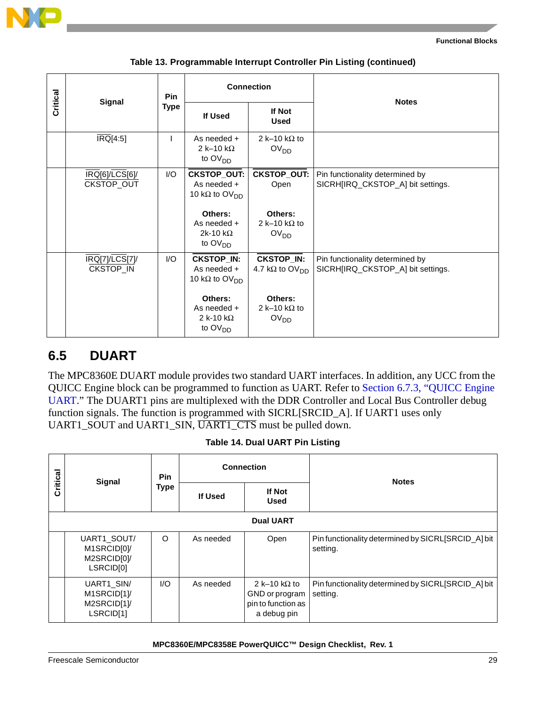

|  | Critical<br>Signal           | Pin<br><b>Type</b>     | <b>Connection</b>                                                      |                                                         | <b>Notes</b>                                                         |
|--|------------------------------|------------------------|------------------------------------------------------------------------|---------------------------------------------------------|----------------------------------------------------------------------|
|  |                              |                        | If Used                                                                | If Not<br><b>Used</b>                                   |                                                                      |
|  | $\overline{\text{IRQ}}[4:5]$ |                        | As needed +<br>2 k-10 k $\Omega$<br>to $\text{OV}_{\text{DD}}$         | 2 k-10 k $\Omega$ to<br>OV <sub>DD</sub>                |                                                                      |
|  | IRQ[6]/LCS[6]/<br>CKSTOP_OUT | I/O                    | <b>CKSTOP_OUT:</b><br>As needed +<br>10 k $\Omega$ to OV <sub>DD</sub> | <b>CKSTOP_OUT:</b><br>Open                              | Pin functionality determined by<br>SICRH[IRQ_CKSTOP_A] bit settings. |
|  |                              |                        | Others:<br>As needed +<br>2k-10 k $\Omega$<br>to $OVDD$                | Others:<br>2 k-10 k $\Omega$ to<br>OV <sub>DD</sub>     |                                                                      |
|  | IRQ[7]/LCS[7]/<br>CKSTOP_IN  | $\mathsf{U}\mathsf{O}$ | <b>CKSTOP_IN:</b><br>As needed +<br>10 k $\Omega$ to OV <sub>DD</sub>  | <b>CKSTOP_IN:</b><br>4.7 k $\Omega$ to OV <sub>DD</sub> | Pin functionality determined by<br>SICRH[IRQ_CKSTOP_A] bit settings. |
|  |                              |                        | Others:<br>As needed +<br>2 k-10 k $\Omega$<br>to OV <sub>DD</sub>     | Others:<br>2 k-10 k $\Omega$ to<br>OV <sub>DD</sub>     |                                                                      |

#### **Table 13. Programmable Interrupt Controller Pin Listing (continued)**

### <span id="page-28-0"></span>**6.5 DUART**

The MPC8360E DUART module provides two standard UART interfaces. In addition, any UCC from the QUICC Engine block can be programmed to function as UART. Refer to [Section 6.7.3, "QUICC Engine](#page-38-0)  [UART](#page-38-0)." The DUART1 pins are multiplexed with the DDR Controller and Local Bus Controller debug function signals. The function is programmed with SICRL[SRCID\_A]. If UART1 uses only UART1\_SOUT and UART1\_SIN, UART1\_CTS must be pulled down.

| Critical | Signal                                                             | <b>Connection</b><br><b>Pin</b><br><b>Type</b><br>If Used |           |                                                                             |                                                                |  |
|----------|--------------------------------------------------------------------|-----------------------------------------------------------|-----------|-----------------------------------------------------------------------------|----------------------------------------------------------------|--|
|          |                                                                    |                                                           |           | <b>If Not</b><br><b>Used</b>                                                | <b>Notes</b>                                                   |  |
|          | <b>Dual UART</b>                                                   |                                                           |           |                                                                             |                                                                |  |
|          | UART1 SOUT/<br>M1SRCIDI01/<br>M2SRCID[0]/<br>LSRCID <sub>[0]</sub> | $\circ$                                                   | As needed | Open                                                                        | Pin functionality determined by SICRL[SRCID_A] bit<br>setting. |  |
|          | UART1 SIN/<br>M1SRCID[1]/<br>M2SRCID[1]/<br>LSRCID[1]              | 1/O                                                       | As needed | 2 k-10 k $\Omega$ to<br>GND or program<br>pin to function as<br>a debug pin | Pin functionality determined by SICRL[SRCID_A] bit<br>setting. |  |

#### **Table 14. Dual UART Pin Listing**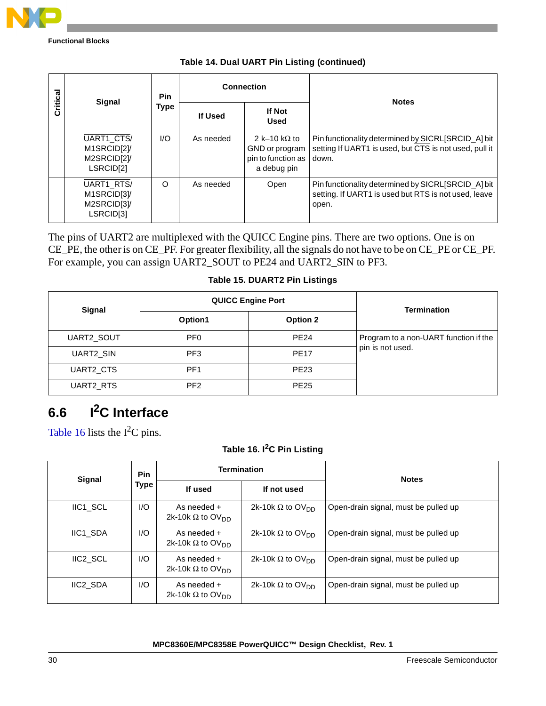

| Critical | <b>Signal</b>                                         | <b>Pin</b><br>Type<br>If Used | <b>Connection</b> | <b>Notes</b>                                                                |                                                                                                                       |
|----------|-------------------------------------------------------|-------------------------------|-------------------|-----------------------------------------------------------------------------|-----------------------------------------------------------------------------------------------------------------------|
|          |                                                       |                               |                   | <b>If Not</b><br><b>Used</b>                                                |                                                                                                                       |
|          | UART1_CTS/<br>M1SRCID[2]/<br>M2SRCID[2]/<br>LSRCID[2] | 1/O                           | As needed         | 2 k-10 k $\Omega$ to<br>GND or program<br>pin to function as<br>a debug pin | Pin functionality determined by SICRL[SRCID_A] bit<br>setting If UART1 is used, but CTS is not used, pull it<br>down. |
|          | UART1 RTS/<br>M1SRCID[3]/<br>M2SRCID[3]/<br>LSRCID[3] | $\Omega$                      | As needed         | Open                                                                        | Pin functionality determined by SICRLISRCID Al bit<br>setting. If UART1 is used but RTS is not used, leave<br>open.   |

The pins of UART2 are multiplexed with the QUICC Engine pins. There are two options. One is on CE\_PE, the other is on CE\_PF. For greater flexibility, all the signals do not have to be on CE\_PE or CE\_PF. For example, you can assign UART2\_SOUT to PE24 and UART2\_SIN to PF3.

#### **Table 15. DUART2 Pin Listings**

| Signal     | <b>QUICC Engine Port</b> | <b>Termination</b> |                                       |
|------------|--------------------------|--------------------|---------------------------------------|
|            | Option1                  | <b>Option 2</b>    |                                       |
| UART2_SOUT | PF <sub>0</sub>          | <b>PE24</b>        | Program to a non-UART function if the |
| UART2 SIN  | PF <sub>3</sub>          | <b>PE17</b>        | pin is not used.                      |
| UART2 CTS  | PF <sub>1</sub>          | <b>PE23</b>        |                                       |
| UART2 RTS  | PF <sub>2</sub>          | <b>PE25</b>        |                                       |

# **6.6 I2C Interface**

[Table 16](#page-29-0) lists the  $I<sup>2</sup>C$  pins.

### **Table 16. I2C Pin Listing**

<span id="page-29-0"></span>

| Signal               | <b>Pin</b> | <b>Termination</b>                                   |                                     | <b>Notes</b>                         |
|----------------------|------------|------------------------------------------------------|-------------------------------------|--------------------------------------|
|                      | Type       | If used                                              | If not used                         |                                      |
| IIC1 SCL             | I/O        | As needed +<br>2k-10k $\Omega$ to OV <sub>DD</sub>   | 2k-10k $\Omega$ to OV <sub>DD</sub> | Open-drain signal, must be pulled up |
| IIC1 SDA             | I/O        | As needed +<br>2k-10k $\Omega$ to OV <sub>DD</sub>   | 2k-10k $\Omega$ to OV <sub>DD</sub> | Open-drain signal, must be pulled up |
| <b>IIC2 SCL</b>      | I/O        | As needed $+$<br>2k-10k $\Omega$ to OV <sub>DD</sub> | 2k-10k $\Omega$ to OV <sub>DD</sub> | Open-drain signal, must be pulled up |
| IIC <sub>2</sub> SDA | I/O        | As needed +<br>2k-10k $\Omega$ to OV <sub>DD</sub>   | 2k-10k $\Omega$ to OV <sub>DD</sub> | Open-drain signal, must be pulled up |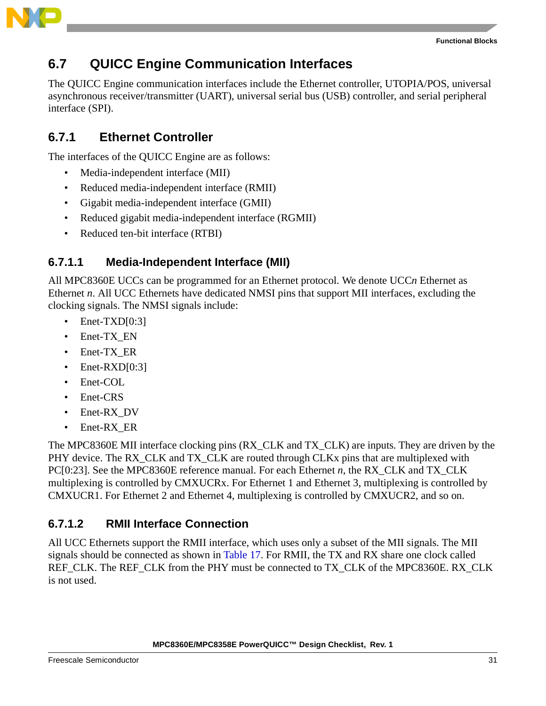

### **6.7 QUICC Engine Communication Interfaces**

The QUICC Engine communication interfaces include the Ethernet controller, UTOPIA/POS, universal asynchronous receiver/transmitter (UART), universal serial bus (USB) controller, and serial peripheral interface (SPI).

### **6.7.1 Ethernet Controller**

The interfaces of the QUICC Engine are as follows:

- Media-independent interface (MII)
- Reduced media-independent interface (RMII)
- Gigabit media-independent interface (GMII)
- Reduced gigabit media-independent interface (RGMII)
- Reduced ten-bit interface (RTBI)

### **6.7.1.1 Media-Independent Interface (MII)**

All MPC8360E UCCs can be programmed for an Ethernet protocol. We denote UCC*n* Ethernet as Ethernet *n*. All UCC Ethernets have dedicated NMSI pins that support MII interfaces, excluding the clocking signals. The NMSI signals include:

- Enet-TXD[0:3]
- Enet-TX\_EN
- Enet-TX\_ER
- Enet-RXD[0:3]
- Enet-COL
- Enet-CRS
- Enet-RX DV
- Enet-RX\_ER

The MPC8360E MII interface clocking pins (RX\_CLK and TX\_CLK) are inputs. They are driven by the PHY device. The RX CLK and TX CLK are routed through CLKx pins that are multiplexed with PC[0:23]. See the MPC8360E reference manual. For each Ethernet *n*, the RX\_CLK and TX\_CLK multiplexing is controlled by CMXUCRx. For Ethernet 1 and Ethernet 3, multiplexing is controlled by CMXUCR1. For Ethernet 2 and Ethernet 4, multiplexing is controlled by CMXUCR2, and so on.

### **6.7.1.2 RMII Interface Connection**

All UCC Ethernets support the RMII interface, which uses only a subset of the MII signals. The MII signals should be connected as shown in [Table 17](#page-31-0). For RMII, the TX and RX share one clock called REF\_CLK. The REF\_CLK from the PHY must be connected to TX\_CLK of the MPC8360E. RX\_CLK is not used.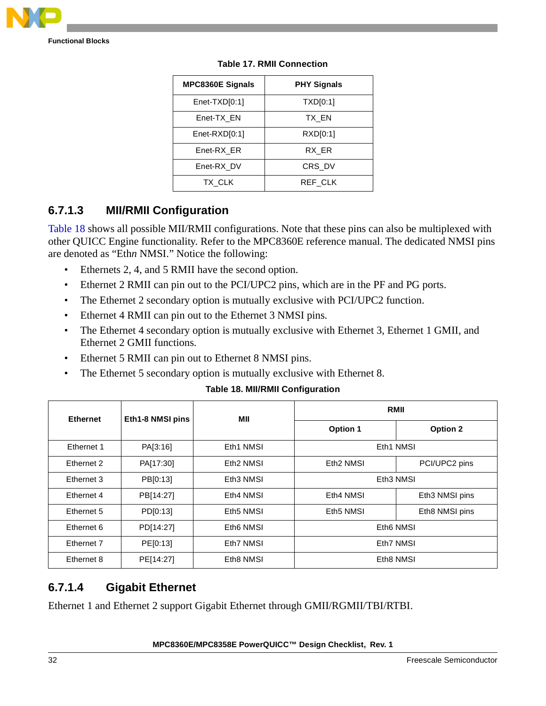<span id="page-31-0"></span>

| <b>MPC8360E Signals</b> | <b>PHY Signals</b> |  |
|-------------------------|--------------------|--|
| $Enet-TXD[0:1]$         | TXD[0:1]           |  |
| Enet-TX EN              | TX EN              |  |
| $Enet-RXD[0:1]$         | RXD[0:1]           |  |
| Enet-RX ER              | RX ER              |  |
| Enet-RX DV              | CRS DV             |  |
| TX CLK                  | REF CLK            |  |

### **6.7.1.3 MII/RMII Configuration**

[Table 18](#page-31-1) shows all possible MII/RMII configurations. Note that these pins can also be multiplexed with other QUICC Engine functionality. Refer to the MPC8360E reference manual. The dedicated NMSI pins are denoted as "Eth*n* NMSI." Notice the following:

- Ethernets 2, 4, and 5 RMII have the second option.
- Ethernet 2 RMII can pin out to the PCI/UPC2 pins, which are in the PF and PG ports.
- The Ethernet 2 secondary option is mutually exclusive with PCI/UPC2 function.
- Ethernet 4 RMII can pin out to the Ethernet 3 NMSI pins.
- The Ethernet 4 secondary option is mutually exclusive with Ethernet 3, Ethernet 1 GMII, and Ethernet 2 GMII functions.
- Ethernet 5 RMII can pin out to Ethernet 8 NMSI pins.
- The Ethernet 5 secondary option is mutually exclusive with Ethernet 8.

|  |  |  | <b>Table 18. MII/RMII Configuration</b> |
|--|--|--|-----------------------------------------|
|--|--|--|-----------------------------------------|

<span id="page-31-1"></span>

| <b>Ethernet</b> | Eth1-8 NMSI pins | MII                   | <b>RMII</b>           |                 |  |
|-----------------|------------------|-----------------------|-----------------------|-----------------|--|
|                 |                  |                       | <b>Option 1</b>       | <b>Option 2</b> |  |
| Ethernet 1      | PA[3:16]         | Eth1 NMSI             | Eth1 NMSI             |                 |  |
| Ethernet 2      | PA[17:30]        | Eth <sub>2</sub> NMSI | Eth <sub>2</sub> NMSI | PCI/UPC2 pins   |  |
| Ethernet 3      | PB[0:13]         | Eth <sub>3</sub> NMSI | Eth <sub>3</sub> NMSI |                 |  |
| Ethernet 4      | PB[14:27]        | Eth4 NMSI             | Eth4 NMSI             | Eth3 NMSI pins  |  |
| Ethernet 5      | PD[0:13]         | Eth5 NMSI             | Eth5 NMSI             | Eth8 NMSI pins  |  |
| Ethernet 6      | PD[14:27]        | Eth6 NMSI             | Eth6 NMSI             |                 |  |
| Ethernet 7      | PE[0:13]         | Eth7 NMSI             | Eth7 NMSI             |                 |  |
| Ethernet 8      | PE[14:27]        | Eth8 NMSI             | Eth8 NMSI             |                 |  |

### **6.7.1.4 Gigabit Ethernet**

Ethernet 1 and Ethernet 2 support Gigabit Ethernet through GMII/RGMII/TBI/RTBI.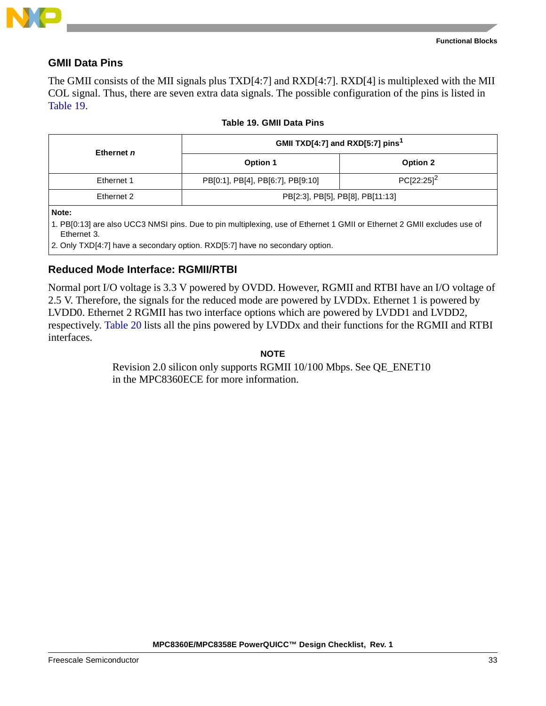

#### **GMII Data Pins**

The GMII consists of the MII signals plus TXD[4:7] and RXD[4:7]. RXD[4] is multiplexed with the MII COL signal. Thus, there are seven extra data signals. The possible configuration of the pins is listed in [Table 19.](#page-32-0)

<span id="page-32-0"></span>

| Ethernet n |                                   | GMII TXD[4:7] and RXD[5:7] pins <sup>1</sup> |  |  |  |
|------------|-----------------------------------|----------------------------------------------|--|--|--|
|            | Option 1                          | Option 2                                     |  |  |  |
| Ethernet 1 | PB[0:1], PB[4], PB[6:7], PB[9:10] | $PC[22:25]^{2}$                              |  |  |  |
| Ethernet 2 | PB[2:3], PB[5], PB[8], PB[11:13]  |                                              |  |  |  |
| Nato-      |                                   |                                              |  |  |  |

#### **Table 19. GMII Data Pins**

**Note:** 

1. PB[0:13] are also UCC3 NMSI pins. Due to pin multiplexing, use of Ethernet 1 GMII or Ethernet 2 GMII excludes use of Ethernet 3.

2. Only TXD[4:7] have a secondary option. RXD[5:7] have no secondary option.

#### <span id="page-32-1"></span>**Reduced Mode Interface: RGMII/RTBI**

Normal port I/O voltage is 3.3 V powered by OVDD. However, RGMII and RTBI have an I/O voltage of 2.5 V. Therefore, the signals for the reduced mode are powered by LVDDx. Ethernet 1 is powered by LVDD0. Ethernet 2 RGMII has two interface options which are powered by LVDD1 and LVDD2, respectively. [Table 20](#page-33-0) lists all the pins powered by LVDDx and their functions for the RGMII and RTBI interfaces.

**NOTE**

Revision 2.0 silicon only supports RGMII 10/100 Mbps. See QE\_ENET10 in the MPC8360ECE for more information.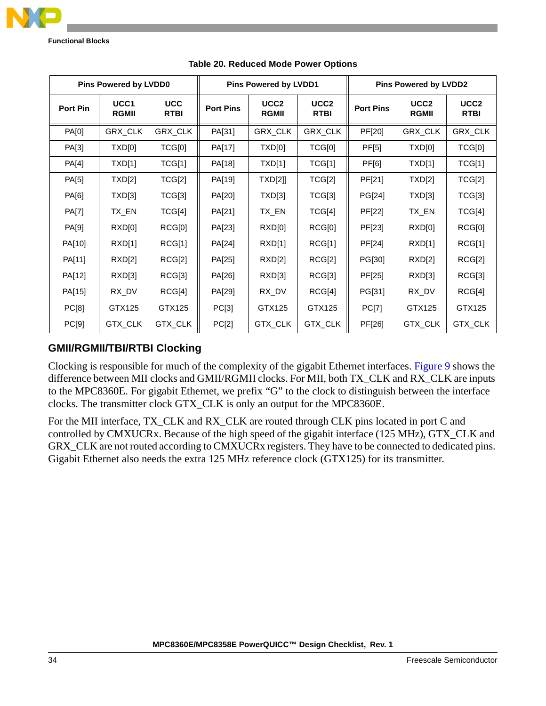

<span id="page-33-0"></span>

| <b>Pins Powered by LVDD0</b> |                      |                           | Pins Powered by LVDD1 |                                  |                                 | <b>Pins Powered by LVDD2</b> |                                  |                                 |
|------------------------------|----------------------|---------------------------|-----------------------|----------------------------------|---------------------------------|------------------------------|----------------------------------|---------------------------------|
| Port Pin                     | UCC1<br><b>RGMII</b> | <b>UCC</b><br><b>RTBI</b> | <b>Port Pins</b>      | UCC <sub>2</sub><br><b>RGMII</b> | UCC <sub>2</sub><br><b>RTBI</b> | <b>Port Pins</b>             | UCC <sub>2</sub><br><b>RGMII</b> | UCC <sub>2</sub><br><b>RTBI</b> |
| PA[0]                        | GRX_CLK              | GRX_CLK                   | PA[31]                | GRX_CLK                          | GRX_CLK                         | PF[20]                       | GRX_CLK                          | GRX_CLK                         |
| PA[3]                        | TXD[0]               | TCG[0]                    | PA[17]                | TXD[0]                           | TCG[0]                          | <b>PF[5]</b>                 | TXD[0]                           | TCG[0]                          |
| PA[4]                        | TXD[1]               | TCG[1]                    | PA[18]                | TXD[1]                           | TCG[1]                          | PF[6]                        | TXD[1]                           | TCG[1]                          |
| PA[5]                        | TXD[2]               | TCG[2]                    | PA[19]                | TXD[2]]                          | TCG[2]                          | PF[21]                       | TXD[2]                           | TCG[2]                          |
| PA[6]                        | TXD[3]               | TCG[3]                    | PA[20]                | TXD[3]                           | TCG[3]                          | PG[24]                       | TXD[3]                           | TCG[3]                          |
| <b>PA[7]</b>                 | TX_EN                | TCG[4]                    | PA[21]                | TX_EN                            | TCG[4]                          | PF[22]                       | TX_EN                            | TCG[4]                          |
| PA[9]                        | RXD[0]               | RCG[0]                    | PA[23]                | RXD[0]                           | RCG[0]                          | PF[23]                       | RXD[0]                           | RCG[0]                          |
| PA[10]                       | RXD[1]               | RCG[1]                    | PA[24]                | RXD[1]                           | RCG[1]                          | PF[24]                       | RXD[1]                           | RCG[1]                          |
| PA[11]                       | RXD[2]               | RCG[2]                    | PA[25]                | RXD[2]                           | RCG[2]                          | PG[30]                       | RXD[2]                           | RCG[2]                          |
| PA[12]                       | RXD[3]               | RCG[3]                    | PA[26]                | RXD[3]                           | RCG[3]                          | PF[25]                       | RXD[3]                           | RCG[3]                          |
| PA[15]                       | RX_DV                | RCG[4]                    | PA[29]                | RX_DV                            | RCG[4]                          | PG[31]                       | RX_DV                            | RCG[4]                          |
| PC[8]                        | GTX125               | GTX125                    | PC[3]                 | GTX125                           | GTX125                          | PC[7]                        | GTX125                           | GTX125                          |
| PC[9]                        | GTX_CLK              | GTX_CLK                   | PC[2]                 | GTX_CLK                          | GTX_CLK                         | PF[26]                       | GTX_CLK                          | GTX_CLK                         |

#### **Table 20. Reduced Mode Power Options**

### <span id="page-33-1"></span>**GMII/RGMII/TBI/RTBI Clocking**

Clocking is responsible for much of the complexity of the gigabit Ethernet interfaces. [Figure 9](#page-34-0) shows the difference between MII clocks and GMII/RGMII clocks. For MII, both TX\_CLK and RX\_CLK are inputs to the MPC8360E. For gigabit Ethernet, we prefix "G" to the clock to distinguish between the interface clocks. The transmitter clock GTX\_CLK is only an output for the MPC8360E.

For the MII interface, TX\_CLK and RX\_CLK are routed through CLK pins located in port C and controlled by CMXUCRx. Because of the high speed of the gigabit interface (125 MHz), GTX\_CLK and GRX\_CLK are not routed according to CMXUCRx registers. They have to be connected to dedicated pins. Gigabit Ethernet also needs the extra 125 MHz reference clock (GTX125) for its transmitter.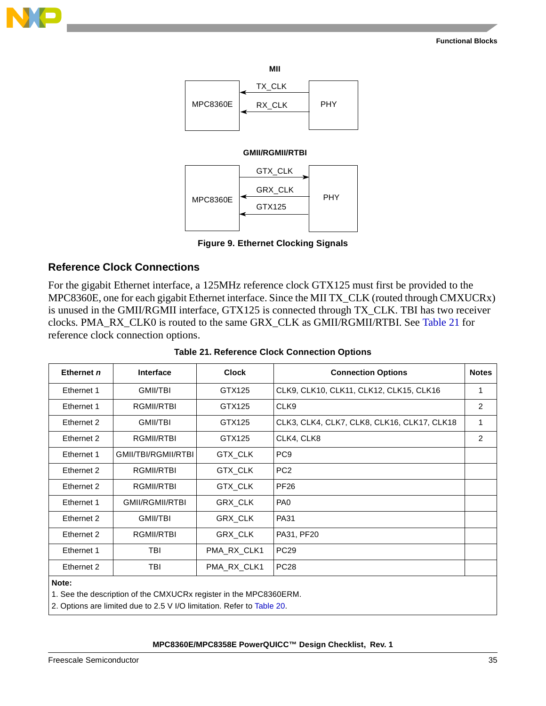



#### **GMII/RGMII/RTBI**



**Figure 9. Ethernet Clocking Signals**

#### <span id="page-34-0"></span>**Reference Clock Connections**

For the gigabit Ethernet interface, a 125MHz reference clock GTX125 must first be provided to the MPC8360E, one for each gigabit Ethernet interface. Since the MII TX\_CLK (routed through CMXUCRx) is unused in the GMII/RGMII interface, GTX125 is connected through TX\_CLK. TBI has two receiver clocks. PMA\_RX\_CLK0 is routed to the same GRX\_CLK as GMII/RGMII/RTBI. See [Table 21](#page-34-1) for reference clock connection options.

<span id="page-34-1"></span>

| Ethernet n                                                                                                                                           | Interface              | <b>Clock</b> | <b>Connection Options</b>                   | <b>Notes</b>   |  |  |
|------------------------------------------------------------------------------------------------------------------------------------------------------|------------------------|--------------|---------------------------------------------|----------------|--|--|
| Ethernet 1                                                                                                                                           | <b>GMII/TBI</b>        | GTX125       | CLK9, CLK10, CLK11, CLK12, CLK15, CLK16     | 1              |  |  |
| Ethernet 1                                                                                                                                           | RGMII/RTBI             | GTX125       | CLK9                                        | $\overline{2}$ |  |  |
| Ethernet 2                                                                                                                                           | GMII/TBI               | GTX125       | CLK3, CLK4, CLK7, CLK8, CLK16, CLK17, CLK18 | 1              |  |  |
| Ethernet 2                                                                                                                                           | RGMII/RTBI             | GTX125       | CLK4, CLK8                                  | $\overline{2}$ |  |  |
| Ethernet 1                                                                                                                                           | GMII/TBI/RGMII/RTBI    | GTX_CLK      | PC <sub>9</sub>                             |                |  |  |
| Ethernet 2                                                                                                                                           | RGMII/RTBI             | GTX_CLK      | PC <sub>2</sub>                             |                |  |  |
| Ethernet 2                                                                                                                                           | RGMII/RTBI             | GTX_CLK      | <b>PF26</b>                                 |                |  |  |
| Ethernet 1                                                                                                                                           | <b>GMII/RGMII/RTBI</b> | GRX_CLK      | PA <sub>0</sub>                             |                |  |  |
| Ethernet 2                                                                                                                                           | <b>GMII/TBI</b>        | GRX_CLK      | <b>PA31</b>                                 |                |  |  |
| Ethernet 2                                                                                                                                           | RGMII/RTBI             | GRX_CLK      | PA31, PF20                                  |                |  |  |
| Ethernet 1                                                                                                                                           | TBI                    | PMA_RX_CLK1  | <b>PC29</b>                                 |                |  |  |
| Ethernet 2                                                                                                                                           | TBI                    | PMA_RX_CLK1  | <b>PC28</b>                                 |                |  |  |
| Note:<br>1. See the description of the CMXUCRx register in the MPC8360ERM.<br>2. Options are limited due to 2.5 V I/O limitation. Refer to Table 20. |                        |              |                                             |                |  |  |

**Table 21. Reference Clock Connection Options**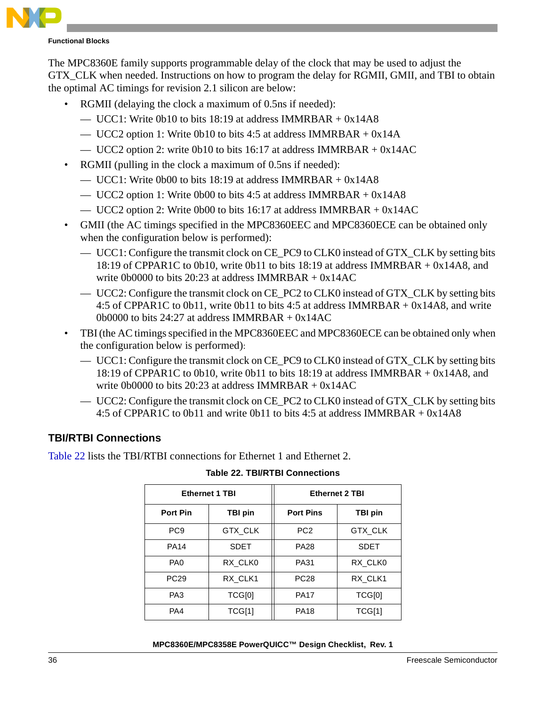

The MPC8360E family supports programmable delay of the clock that may be used to adjust the GTX CLK when needed. Instructions on how to program the delay for RGMII, GMII, and TBI to obtain the optimal AC timings for revision 2.1 silicon are below:

- RGMII (delaying the clock a maximum of 0.5ns if needed):
	- UCC1: Write 0b10 to bits 18:19 at address IMMRBAR  $+$  0x14A8
	- UCC2 option 1: Write 0b10 to bits 4:5 at address IMMRBAR  $+$  0x14A
	- UCC2 option 2: write 0b10 to bits 16:17 at address IMMRBAR  $+$  0x14AC
- RGMII (pulling in the clock a maximum of 0.5ns if needed):
	- UCC1: Write 0b00 to bits 18:19 at address IMMRBAR  $+$  0x14A8
	- UCC2 option 1: Write 0b00 to bits 4:5 at address IMMRBAR  $+$  0x14A8
	- UCC2 option 2: Write 0b00 to bits 16:17 at address IMMRBAR  $+$  0x14AC
- GMII (the AC timings specified in the MPC8360EEC and MPC8360ECE can be obtained only when the configuration below is performed):
	- UCC1: Configure the transmit clock on CE\_PC9 to CLK0 instead of GTX\_CLK by setting bits 18:19 of CPPAR1C to 0b10, write 0b11 to bits 18:19 at address IMMRBAR + 0x14A8, and write 0b0000 to bits 20:23 at address IMMRBAR  $+$  0x14AC
	- UCC2: Configure the transmit clock on CE\_PC2 to CLK0 instead of GTX\_CLK by setting bits 4:5 of CPPAR1C to 0b11, write 0b11 to bits 4:5 at address IMMRBAR + 0x14A8, and write 0b0000 to bits  $24:27$  at address IMMRBAR + 0x14AC
- TBI(the AC timings specified in the MPC8360EEC and MPC8360ECE can be obtained only when the configuration below is performed):
	- UCC1: Configure the transmit clock on CE\_PC9 to CLK0 instead of GTX\_CLK by setting bits 18:19 of CPPAR1C to 0b10, write 0b11 to bits 18:19 at address IMMRBAR + 0x14A8, and write 0b0000 to bits 20:23 at address IMMRBAR  $+$  0x14AC
	- UCC2: Configure the transmit clock on CE\_PC2 to CLK0 instead of GTX\_CLK by setting bits 4:5 of CPPAR1C to 0b11 and write 0b11 to bits 4:5 at address IMMRBAR + 0x14A8

#### **TBI/RTBI Connections**

<span id="page-35-0"></span>[Table 22](#page-35-0) lists the TBI/RTBI connections for Ethernet 1 and Ethernet 2.

|                 | <b>Ethernet 1 TBI</b> | <b>Ethernet 2 TBI</b> |                |  |
|-----------------|-----------------------|-----------------------|----------------|--|
| <b>Port Pin</b> | TBI pin               | <b>Port Pins</b>      | <b>TBI pin</b> |  |
| PC <sub>9</sub> | <b>GTX CLK</b>        | PC <sub>2</sub>       | <b>GTX CLK</b> |  |
| <b>PA14</b>     | <b>SDET</b>           | <b>PA28</b>           | <b>SDET</b>    |  |
| PA <sub>0</sub> | RX CLK0               | PA31                  | RX CLK0        |  |
| <b>PC29</b>     | RX CLK1               | <b>PC28</b>           | RX CLK1        |  |
| PA3             | TCG[0]                | <b>PA17</b>           | TCG[0]         |  |
| PA4             | TCG[1]                | <b>PA18</b>           | TCG[1]         |  |

**Table 22. TBI/RTBI Connections**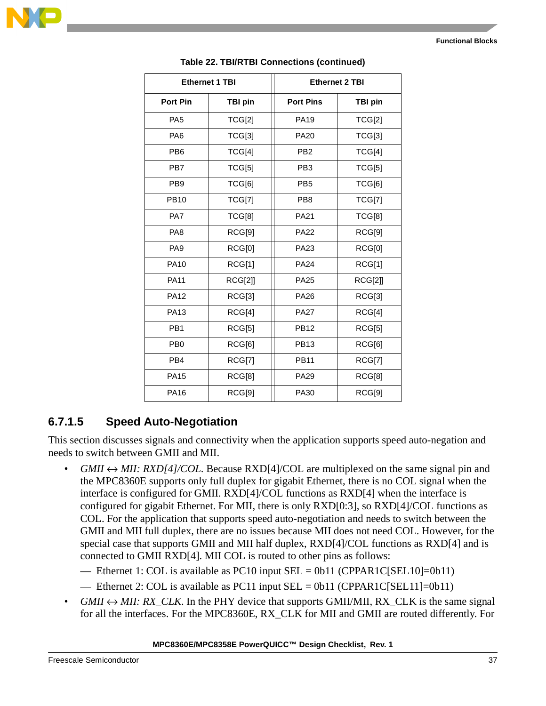

|                 | <b>Ethernet 1 TBI</b> | <b>Ethernet 2 TBI</b> |                |  |
|-----------------|-----------------------|-----------------------|----------------|--|
| <b>Port Pin</b> | <b>TBI pin</b>        | <b>Port Pins</b>      | <b>TBI pin</b> |  |
| PA <sub>5</sub> | TCG[2]                | <b>PA19</b>           | TCG[2]         |  |
| PA <sub>6</sub> | TCG[3]                | <b>PA20</b>           | TCG[3]         |  |
| PB <sub>6</sub> | TCG[4]                | PB <sub>2</sub>       | TCG[4]         |  |
| PB7             | TCG[5]                | PB <sub>3</sub>       | TCG[5]         |  |
| PB <sub>9</sub> | TCG[6]                | PB <sub>5</sub>       | TCG[6]         |  |
| <b>PB10</b>     | TCG[7]                | PB <sub>8</sub>       | TCG[7]         |  |
| PA7             | TCG[8]                | <b>PA21</b>           | TCG[8]         |  |
| PA <sub>8</sub> | RCG[9]                | <b>PA22</b>           | RCG[9]         |  |
| PA <sub>9</sub> | RCG[0]                | PA23                  | RCG[0]         |  |
| <b>PA10</b>     | RCG[1]                | <b>PA24</b>           | RCG[1]         |  |
| <b>PA11</b>     | <b>RCG[2]]</b>        | <b>PA25</b>           | <b>RCG[2]]</b> |  |
| <b>PA12</b>     | RCG[3]                | <b>PA26</b>           | RCG[3]         |  |
| PA13            | RCG[4]                | <b>PA27</b>           | RCG[4]         |  |
| PB <sub>1</sub> | RCG[5]                | <b>PB12</b>           | RCG[5]         |  |
| P <sub>B0</sub> | RCG[6]                | <b>PB13</b>           | RCG[6]         |  |
| PB <sub>4</sub> | RCG[7]                | <b>PB11</b>           | RCG[7]         |  |
| <b>PA15</b>     | RCG[8]                | <b>PA29</b>           | RCG[8]         |  |
| <b>PA16</b>     | RCG[9]                | <b>PA30</b>           | RCG[9]         |  |

#### **Table 22. TBI/RTBI Connections (continued)**

### **6.7.1.5 Speed Auto-Negotiation**

This section discusses signals and connectivity when the application supports speed auto-negation and needs to switch between GMII and MII.

- $GMI \leftrightarrow MII$ :  $RXD[4]/COL$ . Because  $RXD[4]/COL$  are multiplexed on the same signal pin and the MPC8360E supports only full duplex for gigabit Ethernet, there is no COL signal when the interface is configured for GMII. RXD[4]/COL functions as RXD[4] when the interface is configured for gigabit Ethernet. For MII, there is only RXD[0:3], so RXD[4]/COL functions as COL. For the application that supports speed auto-negotiation and needs to switch between the GMII and MII full duplex, there are no issues because MII does not need COL. However, for the special case that supports GMII and MII half duplex, RXD[4]/COL functions as RXD[4] and is connected to GMII RXD[4]. MII COL is routed to other pins as follows:
	- Ethernet 1: COL is available as PC10 input  $SEL = 0b11$  (CPPAR1C[SEL10]=0b11)
	- Ethernet 2: COL is available as PC11 input SEL = 0b11 (CPPAR1C[SEL11]=0b11)
- $GMI \leftrightarrow MII$ : RX CLK. In the PHY device that supports GMII/MII, RX CLK is the same signal for all the interfaces. For the MPC8360E, RX\_CLK for MII and GMII are routed differently. For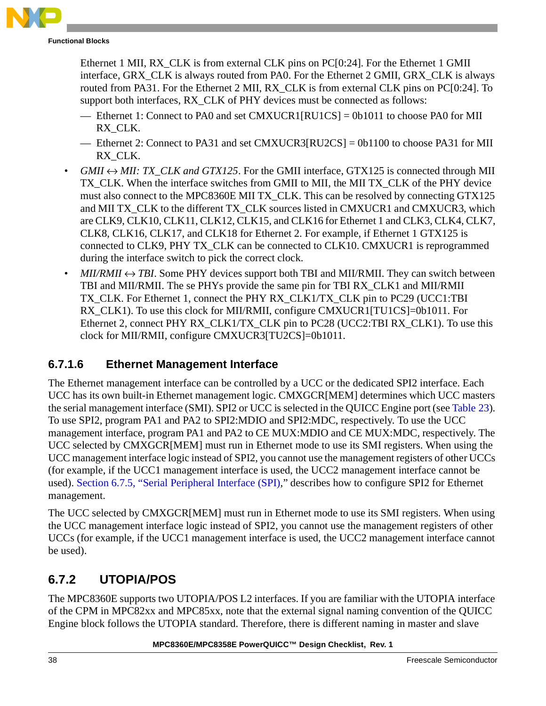

Ethernet 1 MII, RX\_CLK is from external CLK pins on PC[0:24]. For the Ethernet 1 GMII interface, GRX CLK is always routed from PA0. For the Ethernet 2 GMII, GRX CLK is always routed from PA31. For the Ethernet 2 MII, RX\_CLK is from external CLK pins on PC[0:24]. To support both interfaces, RX\_CLK of PHY devices must be connected as follows:

- Ethernet 1: Connect to PA0 and set CMXUCR1[RU1CS] = 0b1011 to choose PA0 for MII RX\_CLK.
- Ethernet 2: Connect to PA31 and set CMXUCR3[RU2CS] = 0b1100 to choose PA31 for MII RX\_CLK.
- $GMI \leftrightarrow MII$ : *TX\_CLK and GTX125*. For the GMII interface, GTX125 is connected through MII TX CLK. When the interface switches from GMII to MII, the MII TX CLK of the PHY device must also connect to the MPC8360E MII TX\_CLK. This can be resolved by connecting GTX125 and MII TX CLK to the different TX CLK sources listed in CMXUCR1 and CMXUCR3, which are CLK9, CLK10, CLK11, CLK12, CLK15, and CLK16 for Ethernet 1 and CLK3, CLK4, CLK7, CLK8, CLK16, CLK17, and CLK18 for Ethernet 2. For example, if Ethernet 1 GTX125 is connected to CLK9, PHY TX\_CLK can be connected to CLK10. CMXUCR1 is reprogrammed during the interface switch to pick the correct clock.
- $MII/RMII \leftrightarrow TBI$ . Some PHY devices support both TBI and MII/RMII. They can switch between TBI and MII/RMII. The se PHYs provide the same pin for TBI RX\_CLK1 and MII/RMII TX\_CLK. For Ethernet 1, connect the PHY RX\_CLK1/TX\_CLK pin to PC29 (UCC1:TBI RX\_CLK1). To use this clock for MII/RMII, configure CMXUCR1[TU1CS]=0b1011. For Ethernet 2, connect PHY RX\_CLK1/TX\_CLK pin to PC28 (UCC2:TBI RX\_CLK1). To use this clock for MII/RMII, configure CMXUCR3[TU2CS]=0b1011.

### <span id="page-37-0"></span>**6.7.1.6 Ethernet Management Interface**

The Ethernet management interface can be controlled by a UCC or the dedicated SPI2 interface. Each UCC has its own built-in Ethernet management logic. CMXGCR[MEM] determines which UCC masters the serial management interface (SMI). SPI2 or UCC is selected in the QUICC Engine port (see [Table 23\)](#page-38-1). To use SPI2, program PA1 and PA2 to SPI2:MDIO and SPI2:MDC, respectively. To use the UCC management interface, program PA1 and PA2 to CE MUX:MDIO and CE MUX:MDC, respectively. The UCC selected by CMXGCR[MEM] must run in Ethernet mode to use its SMI registers. When using the UCC management interface logic instead of SPI2, you cannot use the management registers of other UCCs (for example, if the UCC1 management interface is used, the UCC2 management interface cannot be used). [Section 6.7.5, "Serial Peripheral Interface \(SPI\)](#page-41-0)," describes how to configure SPI2 for Ethernet management.

The UCC selected by CMXGCR[MEM] must run in Ethernet mode to use its SMI registers. When using the UCC management interface logic instead of SPI2, you cannot use the management registers of other UCCs (for example, if the UCC1 management interface is used, the UCC2 management interface cannot be used).

### **6.7.2 UTOPIA/POS**

The MPC8360E supports two UTOPIA/POS L2 interfaces. If you are familiar with the UTOPIA interface of the CPM in MPC82xx and MPC85xx, note that the external signal naming convention of the QUICC Engine block follows the UTOPIA standard. Therefore, there is different naming in master and slave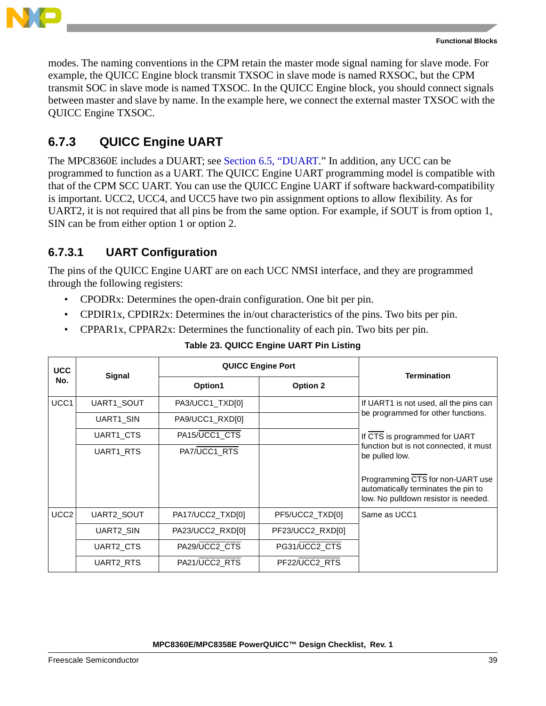

modes. The naming conventions in the CPM retain the master mode signal naming for slave mode. For example, the QUICC Engine block transmit TXSOC in slave mode is named RXSOC, but the CPM transmit SOC in slave mode is named TXSOC. In the QUICC Engine block, you should connect signals between master and slave by name. In the example here, we connect the external master TXSOC with the QUICC Engine TXSOC.

### <span id="page-38-0"></span>**6.7.3 QUICC Engine UART**

The MPC8360E includes a DUART; see [Section 6.5, "DUART](#page-28-0)." In addition, any UCC can be programmed to function as a UART. The QUICC Engine UART programming model is compatible with that of the CPM SCC UART. You can use the QUICC Engine UART if software backward-compatibility is important. UCC2, UCC4, and UCC5 have two pin assignment options to allow flexibility. As for UART2, it is not required that all pins be from the same option. For example, if SOUT is from option 1, SIN can be from either option 1 or option 2.

### **6.7.3.1 UART Configuration**

The pins of the QUICC Engine UART are on each UCC NMSI interface, and they are programmed through the following registers:

- CPODRx: Determines the open-drain configuration. One bit per pin.
- CPDIR1x, CPDIR2x: Determines the in/out characteristics of the pins. Two bits per pin.
- CPPAR1x, CPPAR2x: Determines the functionality of each pin. Two bits per pin.

<span id="page-38-1"></span>

| <b>UCC</b>       | Signal            |                  | <b>QUICC Engine Port</b> | <b>Termination</b>                                                                                              |  |
|------------------|-------------------|------------------|--------------------------|-----------------------------------------------------------------------------------------------------------------|--|
| No.              |                   | Option1          | <b>Option 2</b>          |                                                                                                                 |  |
| UCC <sub>1</sub> | <b>UART1 SOUT</b> | PA3/UCC1_TXD[0]  |                          | If UART1 is not used, all the pins can                                                                          |  |
|                  | UART1_SIN         | PA9/UCC1_RXD[0]  |                          | be programmed for other functions.                                                                              |  |
|                  | UART1 CTS         | PA15/UCC1_CTS    |                          | If CTS is programmed for UART                                                                                   |  |
|                  | UART1 RTS         | PA7/UCC1_RTS     |                          | function but is not connected, it must<br>be pulled low.                                                        |  |
|                  |                   |                  |                          | Programming CTS for non-UART use<br>automatically terminates the pin to<br>low. No pulldown resistor is needed. |  |
| UCC <sub>2</sub> | UART2 SOUT        | PA17/UCC2_TXD[0] | PF5/UCC2_TXD[0]          | Same as UCC1                                                                                                    |  |
|                  | UART2_SIN         | PA23/UCC2_RXD[0] | PF23/UCC2_RXD[0]         |                                                                                                                 |  |
|                  | UART2 CTS         | PA29/UCC2_CTS    | PG31/UCC2_CTS            |                                                                                                                 |  |
|                  | UART2_RTS         | PA21/UCC2 RTS    | PF22/UCC2_RTS            |                                                                                                                 |  |

#### **Table 23. QUICC Engine UART Pin Listing**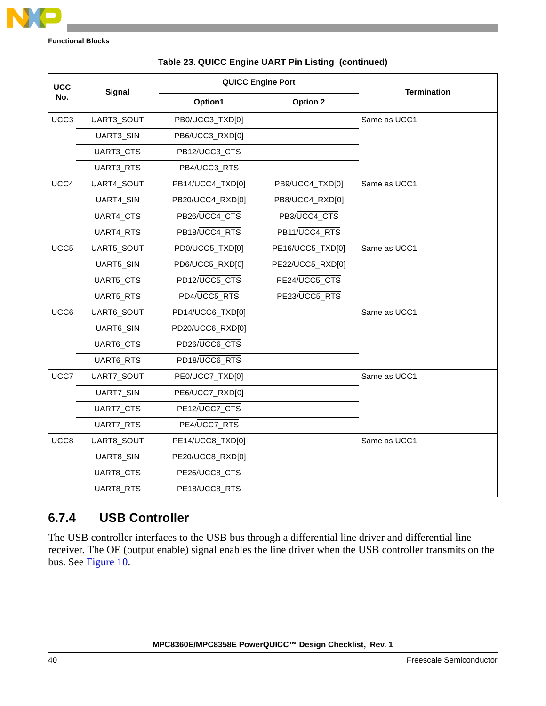

| <b>UCC</b> |               |                  | <b>QUICC Engine Port</b> |                    |
|------------|---------------|------------------|--------------------------|--------------------|
| No.        | <b>Signal</b> | Option1          | Option 2                 | <b>Termination</b> |
| UCC3       | UART3_SOUT    | PB0/UCC3_TXD[0]  |                          | Same as UCC1       |
|            | UART3_SIN     | PB6/UCC3_RXD[0]  |                          |                    |
|            | UART3_CTS     | PB12/UCC3_CTS    |                          |                    |
|            | UART3_RTS     | PB4/UCC3_RTS     |                          |                    |
| UCC4       | UART4_SOUT    | PB14/UCC4_TXD[0] | PB9/UCC4_TXD[0]          | Same as UCC1       |
|            | UART4_SIN     | PB20/UCC4_RXD[0] | PB8/UCC4_RXD[0]          |                    |
|            | UART4_CTS     | PB26/UCC4_CTS    | PB3/UCC4_CTS             |                    |
|            | UART4_RTS     | PB18/UCC4_RTS    | PB11/UCC4_RTS            |                    |
| UCC5       | UART5_SOUT    | PD0/UCC5_TXD[0]  | PE16/UCC5_TXD[0]         | Same as UCC1       |
|            | UART5_SIN     | PD6/UCC5_RXD[0]  | PE22/UCC5_RXD[0]         |                    |
|            | UART5_CTS     | PD12/UCC5_CTS    | PE24/UCC5_CTS            |                    |
|            | UART5_RTS     | PD4/UCC5_RTS     | PE23/UCC5 RTS            |                    |
| UCC6       | UART6_SOUT    | PD14/UCC6_TXD[0] |                          | Same as UCC1       |
|            | UART6_SIN     | PD20/UCC6_RXD[0] |                          |                    |
|            | UART6_CTS     | PD26/UCC6_CTS    |                          |                    |
|            | UART6_RTS     | PD18/UCC6_RTS    |                          |                    |
| UCC7       | UART7_SOUT    | PE0/UCC7_TXD[0]  |                          | Same as UCC1       |
|            | UART7_SIN     | PE6/UCC7_RXD[0]  |                          |                    |
|            | UART7_CTS     | PE12/UCC7_CTS    |                          |                    |
|            | UART7_RTS     | PE4/UCC7_RTS     |                          |                    |
| UCC8       | UART8_SOUT    | PE14/UCC8_TXD[0] |                          | Same as UCC1       |
|            | UART8_SIN     | PE20/UCC8_RXD[0] |                          |                    |
|            | UART8_CTS     | PE26/UCC8_CTS    |                          |                    |
|            | UART8_RTS     | PE18/UCC8_RTS    |                          |                    |

#### **Table 23. QUICC Engine UART Pin Listing (continued)**

### <span id="page-39-0"></span>**6.7.4 USB Controller**

The USB controller interfaces to the USB bus through a differential line driver and differential line receiver. The OE (output enable) signal enables the line driver when the USB controller transmits on the bus. See [Figure 10](#page-40-0).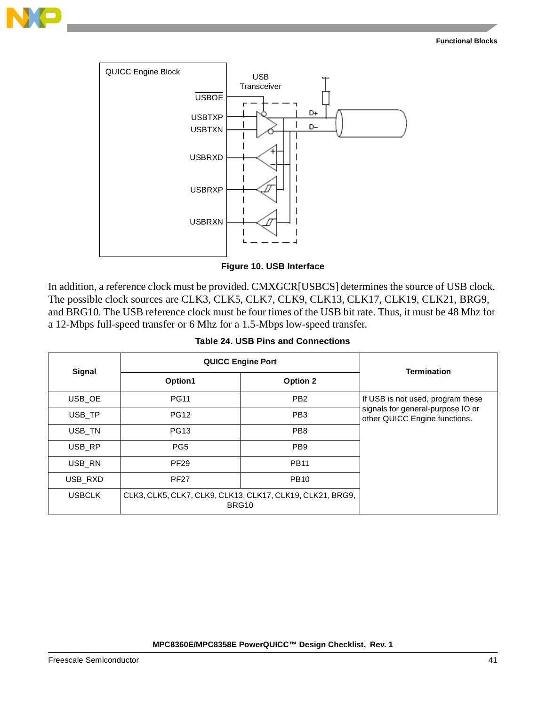



**Figure 10. USB Interface**

<span id="page-40-0"></span>In addition, a reference clock must be provided. CMXGCR[USBCS] determines the source of USB clock. The possible clock sources are CLK3, CLK5, CLK7, CLK9, CLK13, CLK17, CLK19, CLK21, BRG9, and BRG10. The USB reference clock must be four times of the USB bit rate. Thus, it must be 48 Mhz for a 12-Mbps full-speed transfer or 6 Mhz for a 1.5-Mbps low-speed transfer.

|  |  |  | Table 24, USB Pins and Connections |
|--|--|--|------------------------------------|
|--|--|--|------------------------------------|

<span id="page-40-1"></span>

| Signal        | <b>QUICC Engine Port</b>                                           | <b>Termination</b> |                                                                    |
|---------------|--------------------------------------------------------------------|--------------------|--------------------------------------------------------------------|
|               | Option1                                                            | Option 2           |                                                                    |
| USB OE        | <b>PG11</b>                                                        | PB <sub>2</sub>    | If USB is not used, program these                                  |
| USB TP        | <b>PG12</b>                                                        | PB <sub>3</sub>    | signals for general-purpose IO or<br>other QUICC Engine functions. |
| USB_TN        | <b>PG13</b>                                                        | PB <sub>8</sub>    |                                                                    |
| USB RP        | PG <sub>5</sub>                                                    | PB <sub>9</sub>    |                                                                    |
| USB RN        | <b>PF29</b>                                                        | <b>PB11</b>        |                                                                    |
| USB RXD       | <b>PF27</b>                                                        | <b>PB10</b>        |                                                                    |
| <b>USBCLK</b> | CLK3, CLK5, CLK7, CLK9, CLK13, CLK17, CLK19, CLK21, BRG9,<br>BRG10 |                    |                                                                    |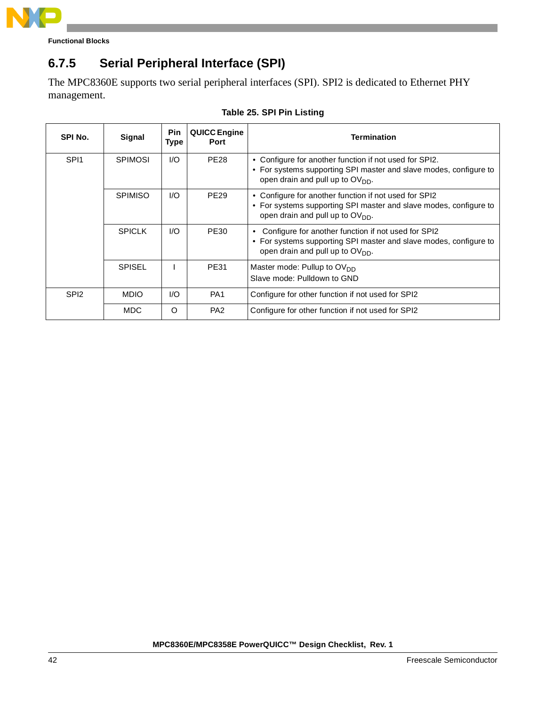

## <span id="page-41-0"></span>**6.7.5 Serial Peripheral Interface (SPI)**

The MPC8360E supports two serial peripheral interfaces (SPI). SPI2 is dedicated to Ethernet PHY management.

| SPI No.          | Signal         | <b>Pin</b><br>Type | <b>QUICC Engine</b><br>Port | <b>Termination</b>                                                                                                                                                          |
|------------------|----------------|--------------------|-----------------------------|-----------------------------------------------------------------------------------------------------------------------------------------------------------------------------|
| SPI <sub>1</sub> | <b>SPIMOSI</b> | 1/O                | <b>PE28</b>                 | • Configure for another function if not used for SPI2.<br>• For systems supporting SPI master and slave modes, configure to<br>open drain and pull up to OV <sub>DD</sub> . |
|                  | <b>SPIMISO</b> | 1/O                | <b>PE29</b>                 | • Configure for another function if not used for SPI2<br>• For systems supporting SPI master and slave modes, configure to<br>open drain and pull up to OV <sub>DD</sub> .  |
|                  | <b>SPICLK</b>  | 1/O                | <b>PE30</b>                 | • Configure for another function if not used for SPI2<br>• For systems supporting SPI master and slave modes, configure to<br>open drain and pull up to OV <sub>DD</sub> .  |
|                  | <b>SPISEL</b>  |                    | PE31                        | Master mode: Pullup to OV <sub>DD</sub><br>Slave mode: Pulldown to GND                                                                                                      |
| SPI <sub>2</sub> | <b>MDIO</b>    | 1/O                | PA <sub>1</sub>             | Configure for other function if not used for SPI2                                                                                                                           |
|                  | <b>MDC</b>     | Ω                  | PA <sub>2</sub>             | Configure for other function if not used for SPI2                                                                                                                           |

#### **Table 25. SPI Pin Listing**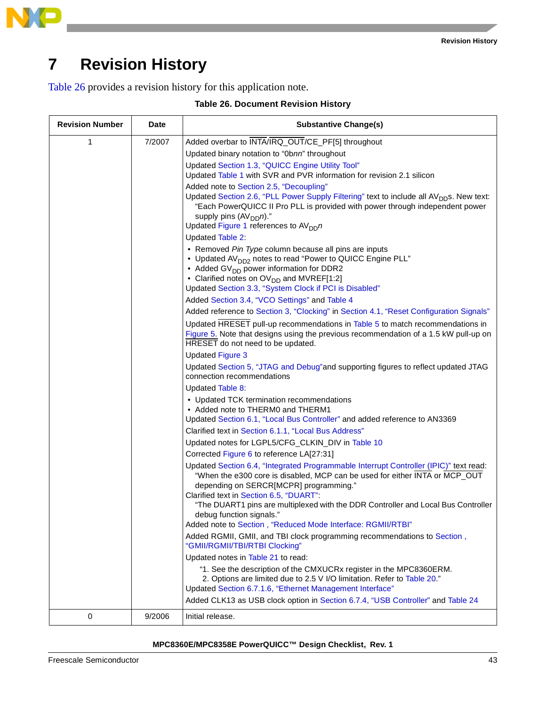

# **7 Revision History**

<span id="page-42-0"></span>[Table 26](#page-42-0) provides a revision history for this application note.

|  | Table 26. Document Revision History |  |  |
|--|-------------------------------------|--|--|
|--|-------------------------------------|--|--|

| <b>Revision Number</b> | Date   | <b>Substantive Change(s)</b>                                                                                                                                                                                                                                 |
|------------------------|--------|--------------------------------------------------------------------------------------------------------------------------------------------------------------------------------------------------------------------------------------------------------------|
| 1                      | 7/2007 | Added overbar to INTA/IRQ_OUT/CE_PF[5] throughout                                                                                                                                                                                                            |
|                        |        | Updated binary notation to "0bnn" throughout                                                                                                                                                                                                                 |
|                        |        | Updated Section 1.3, "QUICC Engine Utility Tool"                                                                                                                                                                                                             |
|                        |        | Updated Table 1 with SVR and PVR information for revision 2.1 silicon                                                                                                                                                                                        |
|                        |        | Added note to Section 2.5, "Decoupling"                                                                                                                                                                                                                      |
|                        |        | Updated Section 2.6, "PLL Power Supply Filtering" text to include all AV <sub>DD</sub> s. New text:<br>"Each PowerQUICC II Pro PLL is provided with power through independent power<br>supply pins $(AV_{DD}n)$ ."<br>Updated Figure 1 references to $AVDDn$ |
|                        |        | <b>Updated Table 2:</b>                                                                                                                                                                                                                                      |
|                        |        | • Removed Pin Type column because all pins are inputs                                                                                                                                                                                                        |
|                        |        | • Updated AV <sub>DD2</sub> notes to read "Power to QUICC Engine PLL"                                                                                                                                                                                        |
|                        |        | • Added GV <sub>DD</sub> power information for DDR2                                                                                                                                                                                                          |
|                        |        | • Clarified notes on OV <sub>DD</sub> and MVREF[1:2]                                                                                                                                                                                                         |
|                        |        | Updated Section 3.3, "System Clock if PCI is Disabled"                                                                                                                                                                                                       |
|                        |        | Added Section 3.4, "VCO Settings" and Table 4                                                                                                                                                                                                                |
|                        |        | Added reference to Section 3, "Clocking" in Section 4.1, "Reset Configuration Signals"                                                                                                                                                                       |
|                        |        | Updated HRESET pull-up recommendations in Table 5 to match recommendations in                                                                                                                                                                                |
|                        |        | Figure 5. Note that designs using the previous recommendation of a 1.5 kW pull-up on<br>HRESET do not need to be updated.                                                                                                                                    |
|                        |        | <b>Updated Figure 3</b>                                                                                                                                                                                                                                      |
|                        |        | Updated Section 5, "JTAG and Debug"and supporting figures to reflect updated JTAG<br>connection recommendations                                                                                                                                              |
|                        |        | Updated Table 8:                                                                                                                                                                                                                                             |
|                        |        | • Updated TCK termination recommendations<br>• Added note to THERM0 and THERM1                                                                                                                                                                               |
|                        |        | Updated Section 6.1, "Local Bus Controller" and added reference to AN3369                                                                                                                                                                                    |
|                        |        | Clarified text in Section 6.1.1, "Local Bus Address"                                                                                                                                                                                                         |
|                        |        | Updated notes for LGPL5/CFG_CLKIN_DIV in Table 10                                                                                                                                                                                                            |
|                        |        | Corrected Figure 6 to reference LA[27:31]                                                                                                                                                                                                                    |
|                        |        | Updated Section 6.4, "Integrated Programmable Interrupt Controller (IPIC)" text read:<br>"When the e300 core is disabled, MCP can be used for either INTA or MCP_OUT<br>depending on SERCR[MCPR] programming."<br>Clarified text in Section 6.5, "DUART":    |
|                        |        | "The DUART1 pins are multiplexed with the DDR Controller and Local Bus Controller<br>debug function signals."                                                                                                                                                |
|                        |        | Added note to Section, "Reduced Mode Interface: RGMII/RTBI"                                                                                                                                                                                                  |
|                        |        | Added RGMII, GMII, and TBI clock programming recommendations to Section,<br>"GMII/RGMII/TBI/RTBI Clocking"                                                                                                                                                   |
|                        |        | Updated notes in Table 21 to read:                                                                                                                                                                                                                           |
|                        |        | "1. See the description of the CMXUCRx register in the MPC8360ERM.<br>2. Options are limited due to 2.5 V I/O limitation. Refer to Table 20."                                                                                                                |
|                        |        | Updated Section 6.7.1.6, "Ethernet Management Interface"                                                                                                                                                                                                     |
|                        |        | Added CLK13 as USB clock option in Section 6.7.4, "USB Controller" and Table 24                                                                                                                                                                              |
| 0                      | 9/2006 | Initial release.                                                                                                                                                                                                                                             |